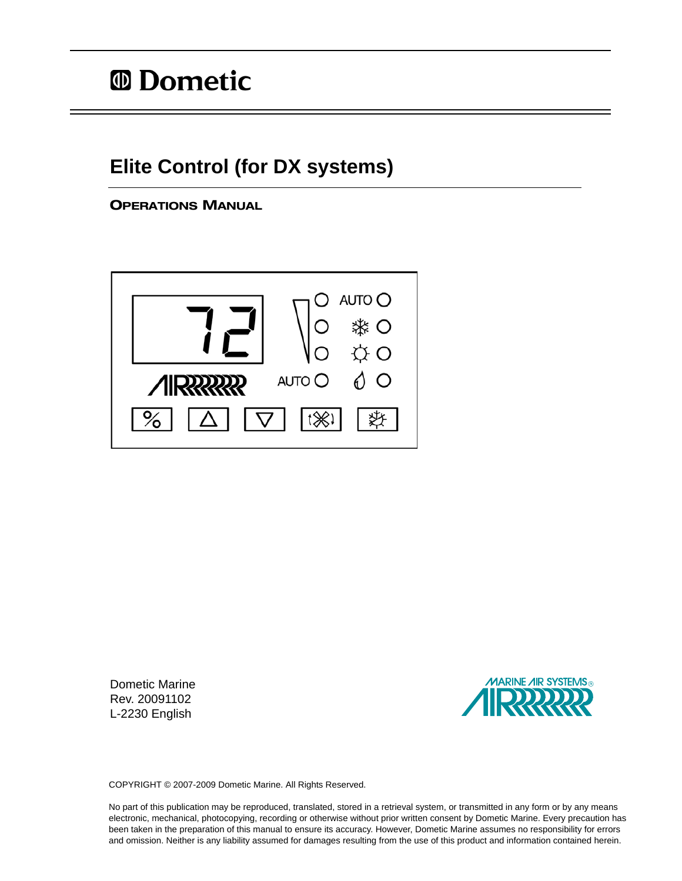## **Elite Control (for DX systems)**

OPERATIONS MANUAL



Dometic Marine Rev. 20091102 L-2230 English



COPYRIGHT © 2007-2009 Dometic Marine. All Rights Reserved.

No part of this publication may be reproduced, translated, stored in a retrieval system, or transmitted in any form or by any means electronic, mechanical, photocopying, recording or otherwise without prior written consent by Dometic Marine. Every precaution has been taken in the preparation of this manual to ensure its accuracy. However, Dometic Marine assumes no responsibility for errors and omission. Neither is any liability assumed for damages resulting from the use of this product and information contained herein.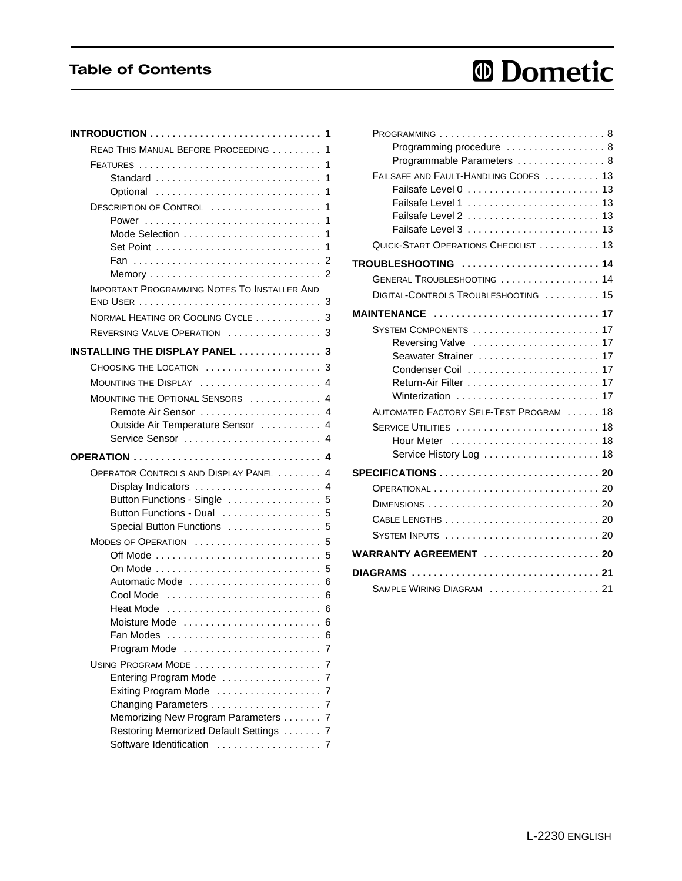## Table of Contents

# *<sup>ID</sup>* Dometic

| READ THIS MANUAL BEFORE PROCEEDING  1                              |   |
|--------------------------------------------------------------------|---|
|                                                                    |   |
|                                                                    |   |
| Optional                                                           |   |
| DESCRIPTION OF CONTROL  1                                          |   |
|                                                                    | 1 |
| Mode Selection                                                     | 1 |
|                                                                    |   |
|                                                                    |   |
| <b>IMPORTANT PROGRAMMING NOTES TO INSTALLER AND</b>                |   |
|                                                                    |   |
| NORMAL HEATING OR COOLING CYCLE  3                                 |   |
| REVERSING VALVE OPERATION  3                                       |   |
| INSTALLING THE DISPLAY PANEL  3                                    |   |
| CHOOSING THE LOCATION  3                                           |   |
| MOUNTING THE DISPLAY  4                                            |   |
| MOUNTING THE OPTIONAL SENSORS  4                                   |   |
| Remote Air Sensor  4                                               |   |
| Outside Air Temperature Sensor  4                                  |   |
| Service Sensor  4                                                  |   |
|                                                                    |   |
| OPERATOR CONTROLS AND DISPLAY PANEL 4                              |   |
| Display Indicators  4                                              |   |
| Button Functions - Single  5                                       |   |
| Button Functions - Dual  5                                         |   |
| Special Button Functions  5                                        |   |
| MODES OF OPERATION  5                                              |   |
| Off Mode $\ldots \ldots \ldots \ldots \ldots \ldots \ldots \ldots$ | 5 |
|                                                                    |   |
|                                                                    |   |
| Heat Mode  6                                                       |   |
| Moisture Mode is a conservative conservation 6                     |   |
| Fan Modes                                                          |   |
|                                                                    |   |
| USING PROGRAM MODE                                                 |   |
| Entering Program Mode                                              |   |
| Exiting Program Mode                                               |   |
| Changing Parameters                                                |   |
| Memorizing New Program Parameters 7                                |   |
| Restoring Memorized Default Settings  7                            |   |
| Software Identification<br>. 7                                     |   |

| $PROGRAMMING$ ,,,,,,,,,,,,,,,,,,,,,,,,,,,,,,,,8 |  |
|-------------------------------------------------|--|
| Programming procedure  8                        |  |
| Programmable Parameters  8                      |  |
| FAILSAFE AND FAULT-HANDLING CODES  13           |  |
|                                                 |  |
|                                                 |  |
| Failsafe Level 2  13<br>Failsafe Level 3  13    |  |
|                                                 |  |
| QUICK-START OPERATIONS CHECKLIST 13             |  |
|                                                 |  |
| GENERAL TROUBLESHOOTING  14                     |  |
| DIGITAL-CONTROLS TROUBLESHOOTING  15            |  |
| MAINTENANCE 17                                  |  |
| SYSTEM COMPONENTS  17                           |  |
| Reversing Valve  17                             |  |
| Seawater Strainer  17                           |  |
|                                                 |  |
|                                                 |  |
| Winterization  17                               |  |
| AUTOMATED FACTORY SELF-TEST PROGRAM  18         |  |
|                                                 |  |
|                                                 |  |
|                                                 |  |
|                                                 |  |
|                                                 |  |
| DIMENSIONS  20                                  |  |
|                                                 |  |
| <b>SYSTEM INPUTS</b> 20                         |  |
| WARRANTY AGREEMENT  20                          |  |
| DIAGRAMS  21                                    |  |
| SAMPLE WIRING DIAGRAM  21                       |  |
|                                                 |  |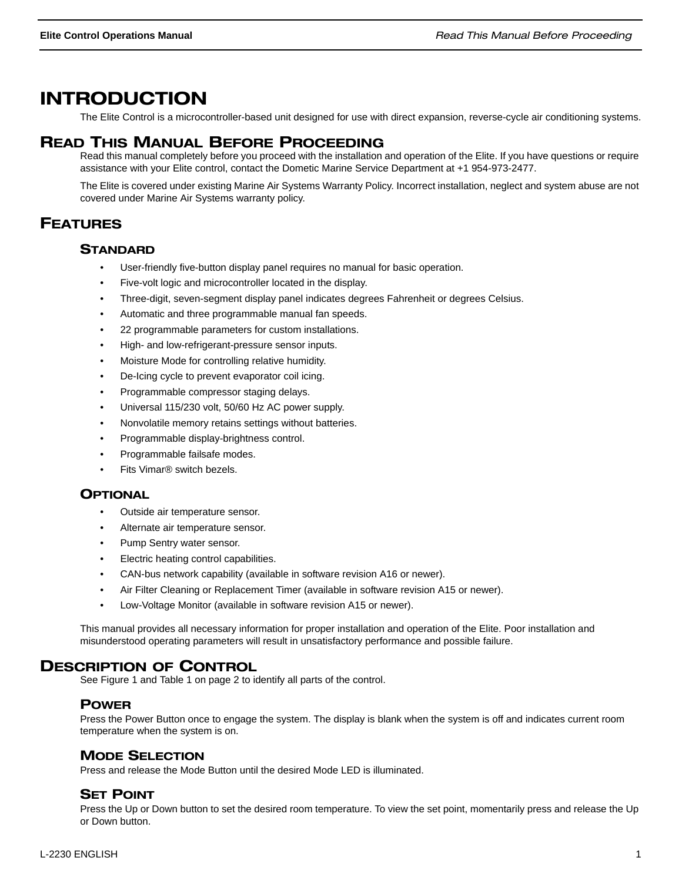## INTRODUCTION

The Elite Control is a microcontroller-based unit designed for use with direct expansion, reverse-cycle air conditioning systems.

## READ THIS MANUAL BEFORE PROCEEDING

Read this manual completely before you proceed with the installation and operation of the Elite. If you have questions or require assistance with your Elite control, contact the Dometic Marine Service Department at +1 954-973-2477.

The Elite is covered under existing Marine Air Systems Warranty Policy. Incorrect installation, neglect and system abuse are not covered under Marine Air Systems warranty policy.

## FEATURES

### **STANDARD**

- User-friendly five-button display panel requires no manual for basic operation.
- Five-volt logic and microcontroller located in the display.
- Three-digit, seven-segment display panel indicates degrees Fahrenheit or degrees Celsius.
- Automatic and three programmable manual fan speeds.
- 22 programmable parameters for custom installations.
- High- and low-refrigerant-pressure sensor inputs.
- Moisture Mode for controlling relative humidity.
- De-Icing cycle to prevent evaporator coil icing.
- Programmable compressor staging delays.
- Universal 115/230 volt, 50/60 Hz AC power supply.
- Nonvolatile memory retains settings without batteries.
- Programmable display-brightness control.
- Programmable failsafe modes.
- Fits Vimar® switch bezels.

## **OPTIONAL**

- Outside air temperature sensor.
- Alternate air temperature sensor.
- Pump Sentry water sensor.
- Electric heating control capabilities.
- CAN-bus network capability (available in software revision A16 or newer).
- Air Filter Cleaning or Replacement Timer (available in software revision A15 or newer).
- Low-Voltage Monitor (available in software revision A15 or newer).

This manual provides all necessary information for proper installation and operation of the Elite. Poor installation and misunderstood operating parameters will result in unsatisfactory performance and possible failure.

## DESCRIPTION OF CONTROL

See Figure 1 and Table 1 on page 2 to identify all parts of the control.

## POWER

Press the Power Button once to engage the system. The display is blank when the system is off and indicates current room temperature when the system is on.

## MODE SELECTION

Press and release the Mode Button until the desired Mode LED is illuminated.

#### SET POINT

Press the Up or Down button to set the desired room temperature. To view the set point, momentarily press and release the Up or Down button.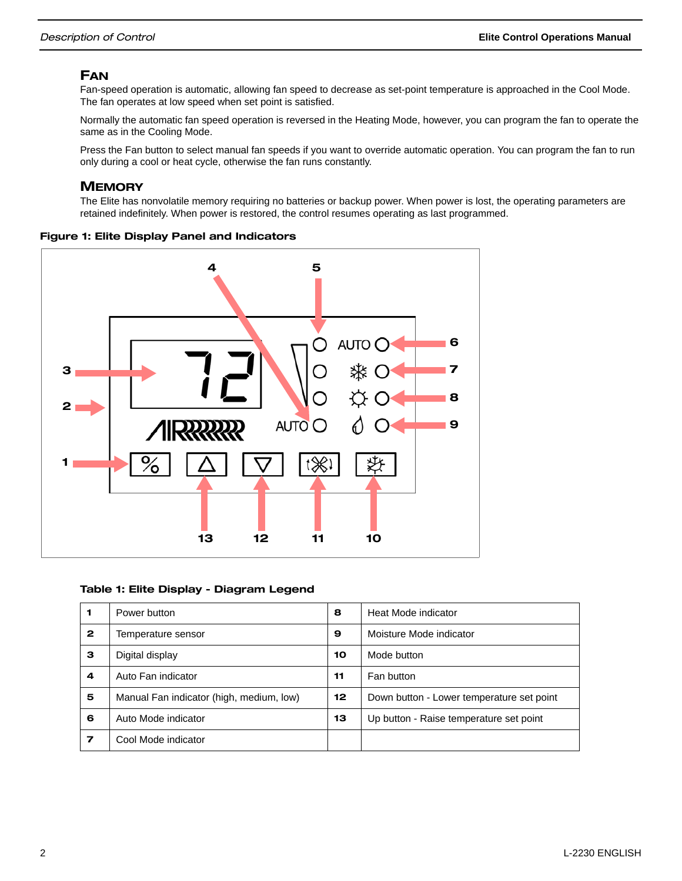## FAN

Fan-speed operation is automatic, allowing fan speed to decrease as set-point temperature is approached in the Cool Mode. The fan operates at low speed when set point is satisfied.

Normally the automatic fan speed operation is reversed in the Heating Mode, however, you can program the fan to operate the same as in the Cooling Mode.

Press the Fan button to select manual fan speeds if you want to override automatic operation. You can program the fan to run only during a cool or heat cycle, otherwise the fan runs constantly.

#### **MEMORY**

The Elite has nonvolatile memory requiring no batteries or backup power. When power is lost, the operating parameters are retained indefinitely. When power is restored, the control resumes operating as last programmed.

#### Figure 1: Elite Display Panel and Indicators



#### Table 1: Elite Display - Diagram Legend

|              | Power button                             | 8  | Heat Mode indicator                       |
|--------------|------------------------------------------|----|-------------------------------------------|
| $\mathbf{2}$ | Temperature sensor                       | 9  | Moisture Mode indicator                   |
| з            | Digital display                          | 10 | Mode button                               |
| 4            | Auto Fan indicator                       | 11 | Fan button                                |
| 5            | Manual Fan indicator (high, medium, low) | 12 | Down button - Lower temperature set point |
| 6            | Auto Mode indicator                      | 13 | Up button - Raise temperature set point   |
| 7            | Cool Mode indicator                      |    |                                           |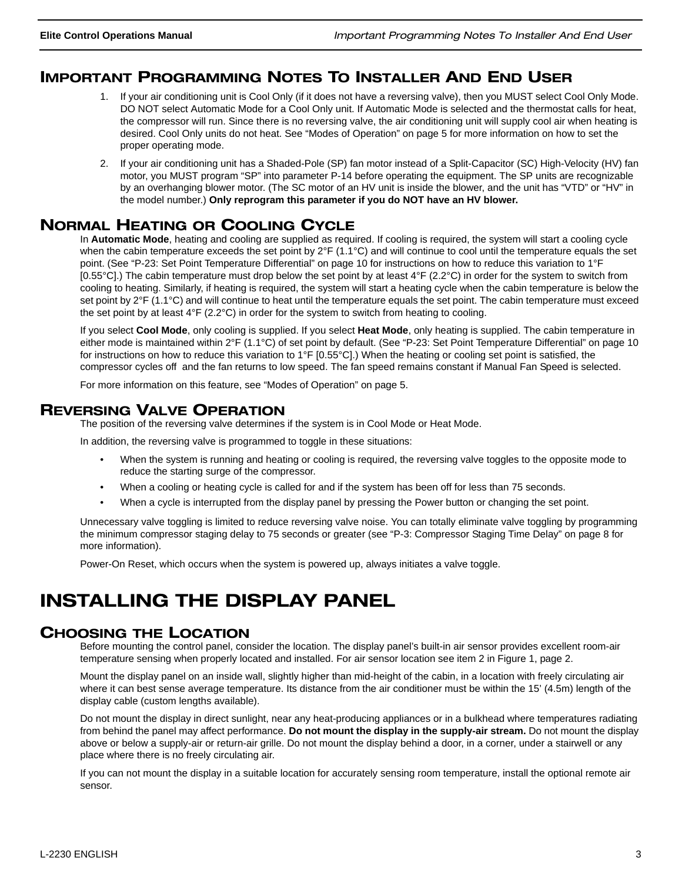## IMPORTANT PROGRAMMING NOTES TO INSTALLER AND END USER

- 1. If your air conditioning unit is Cool Only (if it does not have a reversing valve), then you MUST select Cool Only Mode. DO NOT select Automatic Mode for a Cool Only unit. If Automatic Mode is selected and the thermostat calls for heat, the compressor will run. Since there is no reversing valve, the air conditioning unit will supply cool air when heating is desired. Cool Only units do not heat. See "Modes of Operation" on page 5 for more information on how to set the proper operating mode.
- 2. If your air conditioning unit has a Shaded-Pole (SP) fan motor instead of a Split-Capacitor (SC) High-Velocity (HV) fan motor, you MUST program "SP" into parameter P-14 before operating the equipment. The SP units are recognizable by an overhanging blower motor. (The SC motor of an HV unit is inside the blower, and the unit has "VTD" or "HV" in the model number.) **Only reprogram this parameter if you do NOT have an HV blower.**

## NORMAL HEATING OR COOLING CYCLE

In **Automatic Mode**, heating and cooling are supplied as required. If cooling is required, the system will start a cooling cycle when the cabin temperature exceeds the set point by  $2^{\circ}F$  (1.1 $^{\circ}C$ ) and will continue to cool until the temperature equals the set point. (See "P-23: Set Point Temperature Differential" on page 10 for instructions on how to reduce this variation to 1°F [0.55 $^{\circ}$ C].) The cabin temperature must drop below the set point by at least 4 $^{\circ}$ F (2.2 $^{\circ}$ C) in order for the system to switch from cooling to heating. Similarly, if heating is required, the system will start a heating cycle when the cabin temperature is below the set point by 2°F (1.1°C) and will continue to heat until the temperature equals the set point. The cabin temperature must exceed the set point by at least 4°F (2.2°C) in order for the system to switch from heating to cooling.

If you select **Cool Mode**, only cooling is supplied. If you select **Heat Mode**, only heating is supplied. The cabin temperature in either mode is maintained within 2°F (1.1°C) of set point by default. (See "P-23: Set Point Temperature Differential" on page 10 for instructions on how to reduce this variation to 1°F [0.55°C].) When the heating or cooling set point is satisfied, the compressor cycles off and the fan returns to low speed. The fan speed remains constant if Manual Fan Speed is selected.

For more information on this feature, see "Modes of Operation" on page 5.

## REVERSING VALVE OPERATION

The position of the reversing valve determines if the system is in Cool Mode or Heat Mode.

In addition, the reversing valve is programmed to toggle in these situations:

- When the system is running and heating or cooling is required, the reversing valve toggles to the opposite mode to reduce the starting surge of the compressor.
- When a cooling or heating cycle is called for and if the system has been off for less than 75 seconds.
- When a cycle is interrupted from the display panel by pressing the Power button or changing the set point.

Unnecessary valve toggling is limited to reduce reversing valve noise. You can totally eliminate valve toggling by programming the minimum compressor staging delay to 75 seconds or greater (see "P-3: Compressor Staging Time Delay" on page 8 for more information).

Power-On Reset, which occurs when the system is powered up, always initiates a valve toggle.

## INSTALLING THE DISPLAY PANEL

## CHOOSING THE LOCATION

Before mounting the control panel, consider the location. The display panel's built-in air sensor provides excellent room-air temperature sensing when properly located and installed. For air sensor location see item 2 in Figure 1, page 2.

Mount the display panel on an inside wall, slightly higher than mid-height of the cabin, in a location with freely circulating air where it can best sense average temperature. Its distance from the air conditioner must be within the 15' (4.5m) length of the display cable (custom lengths available).

Do not mount the display in direct sunlight, near any heat-producing appliances or in a bulkhead where temperatures radiating from behind the panel may affect performance. **Do not mount the display in the supply-air stream.** Do not mount the display above or below a supply-air or return-air grille. Do not mount the display behind a door, in a corner, under a stairwell or any place where there is no freely circulating air.

If you can not mount the display in a suitable location for accurately sensing room temperature, install the optional remote air sensor.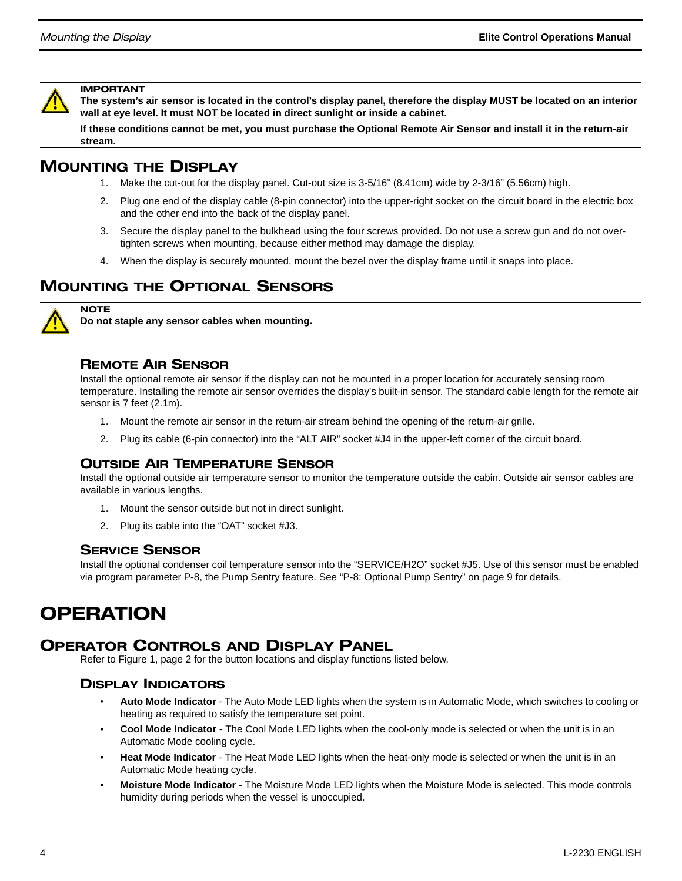

#### IMPORTANT

**The system's air sensor is located in the control's display panel, therefore the display MUST be located on an interior wall at eye level. It must NOT be located in direct sunlight or inside a cabinet.**

**If these conditions cannot be met, you must purchase the Optional Remote Air Sensor and install it in the return-air stream.**

## MOUNTING THE DISPLAY

- 1. Make the cut-out for the display panel. Cut-out size is 3-5/16" (8.41cm) wide by 2-3/16" (5.56cm) high.
- 2. Plug one end of the display cable (8-pin connector) into the upper-right socket on the circuit board in the electric box and the other end into the back of the display panel.
- 3. Secure the display panel to the bulkhead using the four screws provided. Do not use a screw gun and do not overtighten screws when mounting, because either method may damage the display.
- 4. When the display is securely mounted, mount the bezel over the display frame until it snaps into place.

## MOUNTING THE OPTIONAL SENSORS



**NOTE** 

**Do not staple any sensor cables when mounting.**

#### REMOTE AIR SENSOR

Install the optional remote air sensor if the display can not be mounted in a proper location for accurately sensing room temperature. Installing the remote air sensor overrides the display's built-in sensor. The standard cable length for the remote air sensor is 7 feet (2.1m).

- 1. Mount the remote air sensor in the return-air stream behind the opening of the return-air grille.
- 2. Plug its cable (6-pin connector) into the "ALT AIR" socket #J4 in the upper-left corner of the circuit board.

## OUTSIDE AIR TEMPERATURE SENSOR

Install the optional outside air temperature sensor to monitor the temperature outside the cabin. Outside air sensor cables are available in various lengths.

- 1. Mount the sensor outside but not in direct sunlight.
- 2. Plug its cable into the "OAT" socket #J3.

#### SERVICE SENSOR

Install the optional condenser coil temperature sensor into the "SERVICE/H2O" socket #J5. Use of this sensor must be enabled via program parameter P-8, the Pump Sentry feature. See "P-8: Optional Pump Sentry" on page 9 for details.

## OPERATION

## OPERATOR CONTROLS AND DISPLAY PANEL

Refer to Figure 1, page 2 for the button locations and display functions listed below.

#### DISPLAY INDICATORS

- **Auto Mode Indicator**  The Auto Mode LED lights when the system is in Automatic Mode, which switches to cooling or heating as required to satisfy the temperature set point.
- **Cool Mode Indicator**  The Cool Mode LED lights when the cool-only mode is selected or when the unit is in an Automatic Mode cooling cycle.
- **Heat Mode Indicator**  The Heat Mode LED lights when the heat-only mode is selected or when the unit is in an Automatic Mode heating cycle.
- **Moisture Mode Indicator**  The Moisture Mode LED lights when the Moisture Mode is selected. This mode controls humidity during periods when the vessel is unoccupied.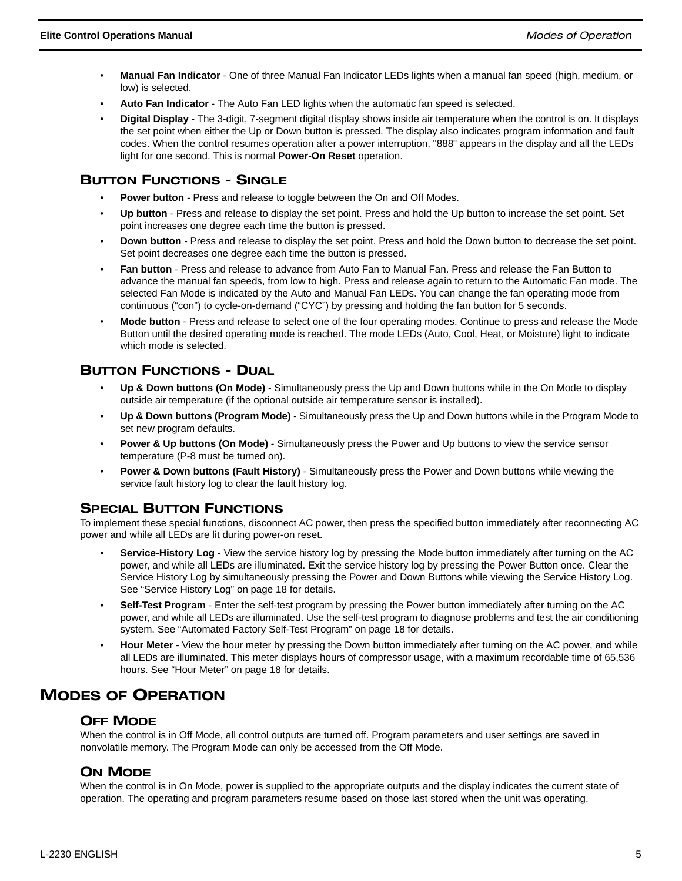- **Manual Fan Indicator** One of three Manual Fan Indicator LEDs lights when a manual fan speed (high, medium, or low) is selected.
- **Auto Fan Indicator** The Auto Fan LED lights when the automatic fan speed is selected.
- **Digital Display**  The 3-digit, 7-segment digital display shows inside air temperature when the control is on. It displays the set point when either the Up or Down button is pressed. The display also indicates program information and fault codes. When the control resumes operation after a power interruption, "888" appears in the display and all the LEDs light for one second. This is normal **Power-On Reset** operation.

### BUTTON FUNCTIONS - SINGLE

- **Power button** Press and release to toggle between the On and Off Modes.
- **Up button** Press and release to display the set point. Press and hold the Up button to increase the set point. Set point increases one degree each time the button is pressed.
- **Down button**  Press and release to display the set point. Press and hold the Down button to decrease the set point. Set point decreases one degree each time the button is pressed.
- **Fan button** Press and release to advance from Auto Fan to Manual Fan. Press and release the Fan Button to advance the manual fan speeds, from low to high. Press and release again to return to the Automatic Fan mode. The selected Fan Mode is indicated by the Auto and Manual Fan LEDs. You can change the fan operating mode from continuous ("con") to cycle-on-demand ("CYC") by pressing and holding the fan button for 5 seconds.
- **Mode button** Press and release to select one of the four operating modes. Continue to press and release the Mode Button until the desired operating mode is reached. The mode LEDs (Auto, Cool, Heat, or Moisture) light to indicate which mode is selected.

## BUTTON FUNCTIONS - DUAL

- **Up & Down buttons (On Mode)** Simultaneously press the Up and Down buttons while in the On Mode to display outside air temperature (if the optional outside air temperature sensor is installed).
- **Up & Down buttons (Program Mode)** Simultaneously press the Up and Down buttons while in the Program Mode to set new program defaults.
- **Power & Up buttons (On Mode)** Simultaneously press the Power and Up buttons to view the service sensor temperature (P-8 must be turned on).
- **Power & Down buttons (Fault History)** Simultaneously press the Power and Down buttons while viewing the service fault history log to clear the fault history log.

## **SPECIAL BUTTON FUNCTIONS**

To implement these special functions, disconnect AC power, then press the specified button immediately after reconnecting AC power and while all LEDs are lit during power-on reset.

- **Service-History Log** View the service history log by pressing the Mode button immediately after turning on the AC power, and while all LEDs are illuminated. Exit the service history log by pressing the Power Button once. Clear the Service History Log by simultaneously pressing the Power and Down Buttons while viewing the Service History Log. See "Service History Log" on page 18 for details.
- **Self-Test Program** Enter the self-test program by pressing the Power button immediately after turning on the AC power, and while all LEDs are illuminated. Use the self-test program to diagnose problems and test the air conditioning system. See "Automated Factory Self-Test Program" on page 18 for details.
- **Hour Meter** View the hour meter by pressing the Down button immediately after turning on the AC power, and while all LEDs are illuminated. This meter displays hours of compressor usage, with a maximum recordable time of 65,536 hours. See "Hour Meter" on page 18 for details.

## MODES OF OPERATION

#### OFF MODE

When the control is in Off Mode, all control outputs are turned off. Program parameters and user settings are saved in nonvolatile memory. The Program Mode can only be accessed from the Off Mode.

## ON MODE

When the control is in On Mode, power is supplied to the appropriate outputs and the display indicates the current state of operation. The operating and program parameters resume based on those last stored when the unit was operating.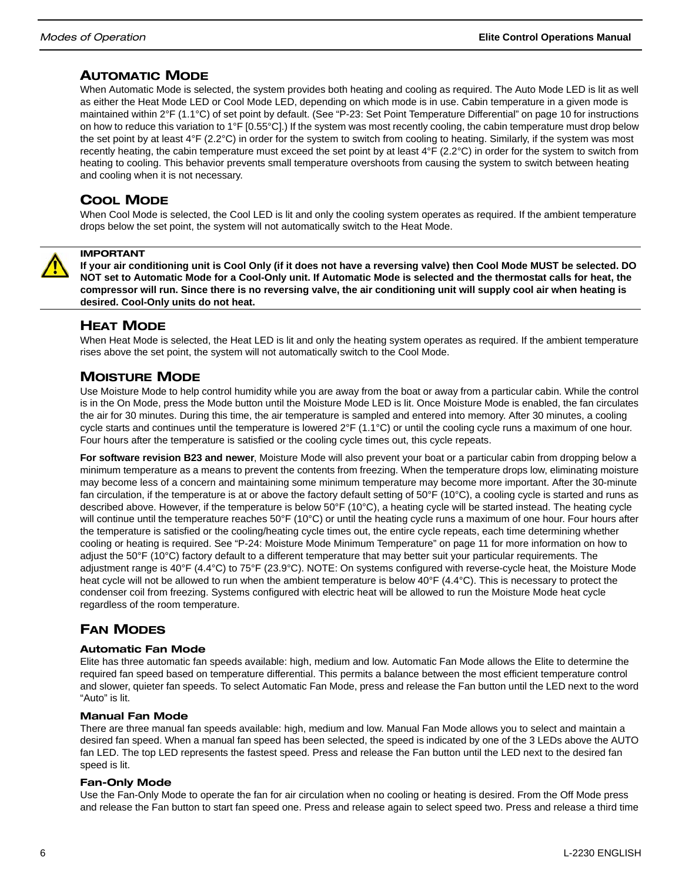## AUTOMATIC MODE

When Automatic Mode is selected, the system provides both heating and cooling as required. The Auto Mode LED is lit as well as either the Heat Mode LED or Cool Mode LED, depending on which mode is in use. Cabin temperature in a given mode is maintained within 2°F (1.1°C) of set point by default. (See "P-23: Set Point Temperature Differential" on page 10 for instructions on how to reduce this variation to 1°F [0.55°C].) If the system was most recently cooling, the cabin temperature must drop below the set point by at least 4°F (2.2°C) in order for the system to switch from cooling to heating. Similarly, if the system was most recently heating, the cabin temperature must exceed the set point by at least 4°F (2.2°C) in order for the system to switch from heating to cooling. This behavior prevents small temperature overshoots from causing the system to switch between heating and cooling when it is not necessary.

## COOL MODE

When Cool Mode is selected, the Cool LED is lit and only the cooling system operates as required. If the ambient temperature drops below the set point, the system will not automatically switch to the Heat Mode.



#### IMPORTANT

**If your air conditioning unit is Cool Only (if it does not have a reversing valve) then Cool Mode MUST be selected. DO NOT set to Automatic Mode for a Cool-Only unit. If Automatic Mode is selected and the thermostat calls for heat, the compressor will run. Since there is no reversing valve, the air conditioning unit will supply cool air when heating is desired. Cool-Only units do not heat.**

## HEAT MODE

When Heat Mode is selected, the Heat LED is lit and only the heating system operates as required. If the ambient temperature rises above the set point, the system will not automatically switch to the Cool Mode.

## MOISTURE MODE

Use Moisture Mode to help control humidity while you are away from the boat or away from a particular cabin. While the control is in the On Mode, press the Mode button until the Moisture Mode LED is lit. Once Moisture Mode is enabled, the fan circulates the air for 30 minutes. During this time, the air temperature is sampled and entered into memory. After 30 minutes, a cooling cycle starts and continues until the temperature is lowered 2°F (1.1°C) or until the cooling cycle runs a maximum of one hour. Four hours after the temperature is satisfied or the cooling cycle times out, this cycle repeats.

**For software revision B23 and newer**, Moisture Mode will also prevent your boat or a particular cabin from dropping below a minimum temperature as a means to prevent the contents from freezing. When the temperature drops low, eliminating moisture may become less of a concern and maintaining some minimum temperature may become more important. After the 30-minute fan circulation, if the temperature is at or above the factory default setting of 50°F (10°C), a cooling cycle is started and runs as described above. However, if the temperature is below 50°F (10°C), a heating cycle will be started instead. The heating cycle will continue until the temperature reaches 50°F (10°C) or until the heating cycle runs a maximum of one hour. Four hours after the temperature is satisfied or the cooling/heating cycle times out, the entire cycle repeats, each time determining whether cooling or heating is required. See "P-24: Moisture Mode Minimum Temperature" on page 11 for more information on how to adjust the 50°F (10°C) factory default to a different temperature that may better suit your particular requirements. The adjustment range is 40°F (4.4°C) to 75°F (23.9°C). NOTE: On systems configured with reverse-cycle heat, the Moisture Mode heat cycle will not be allowed to run when the ambient temperature is below 40°F (4.4°C). This is necessary to protect the condenser coil from freezing. Systems configured with electric heat will be allowed to run the Moisture Mode heat cycle regardless of the room temperature.

## FAN MODES

#### Automatic Fan Mode

Elite has three automatic fan speeds available: high, medium and low. Automatic Fan Mode allows the Elite to determine the required fan speed based on temperature differential. This permits a balance between the most efficient temperature control and slower, quieter fan speeds. To select Automatic Fan Mode, press and release the Fan button until the LED next to the word "Auto" is lit.

#### Manual Fan Mode

There are three manual fan speeds available: high, medium and low. Manual Fan Mode allows you to select and maintain a desired fan speed. When a manual fan speed has been selected, the speed is indicated by one of the 3 LEDs above the AUTO fan LED. The top LED represents the fastest speed. Press and release the Fan button until the LED next to the desired fan speed is lit.

#### Fan-Only Mode

Use the Fan-Only Mode to operate the fan for air circulation when no cooling or heating is desired. From the Off Mode press and release the Fan button to start fan speed one. Press and release again to select speed two. Press and release a third time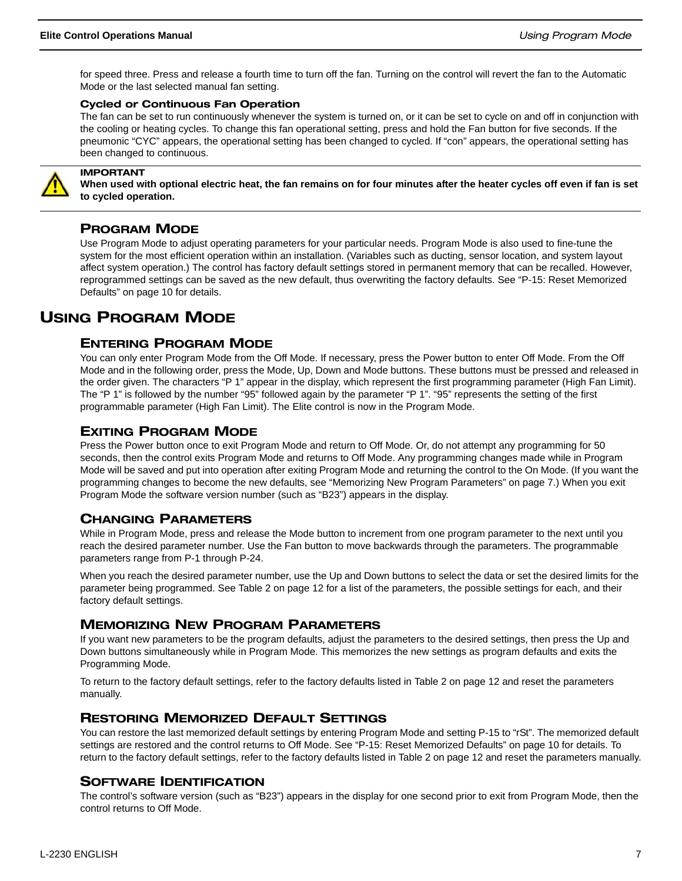for speed three. Press and release a fourth time to turn off the fan. Turning on the control will revert the fan to the Automatic Mode or the last selected manual fan setting.

#### Cycled or Continuous Fan Operation

The fan can be set to run continuously whenever the system is turned on, or it can be set to cycle on and off in conjunction with the cooling or heating cycles. To change this fan operational setting, press and hold the Fan button for five seconds. If the pneumonic "CYC" appears, the operational setting has been changed to cycled. If "con" appears, the operational setting has been changed to continuous.



#### IMPORTANT

**When used with optional electric heat, the fan remains on for four minutes after the heater cycles off even if fan is set to cycled operation.**

### PROGRAM MODE

Use Program Mode to adjust operating parameters for your particular needs. Program Mode is also used to fine-tune the system for the most efficient operation within an installation. (Variables such as ducting, sensor location, and system layout affect system operation.) The control has factory default settings stored in permanent memory that can be recalled. However, reprogrammed settings can be saved as the new default, thus overwriting the factory defaults. See "P-15: Reset Memorized Defaults" on page 10 for details.

## USING PROGRAM MODE

#### ENTERING PROGRAM MODE

You can only enter Program Mode from the Off Mode. If necessary, press the Power button to enter Off Mode. From the Off Mode and in the following order, press the Mode, Up, Down and Mode buttons. These buttons must be pressed and released in the order given. The characters "P 1" appear in the display, which represent the first programming parameter (High Fan Limit). The "P 1" is followed by the number "95" followed again by the parameter "P 1". "95" represents the setting of the first programmable parameter (High Fan Limit). The Elite control is now in the Program Mode.

#### EXITING PROGRAM MODE

Press the Power button once to exit Program Mode and return to Off Mode. Or, do not attempt any programming for 50 seconds, then the control exits Program Mode and returns to Off Mode. Any programming changes made while in Program Mode will be saved and put into operation after exiting Program Mode and returning the control to the On Mode. (If you want the programming changes to become the new defaults, see "Memorizing New Program Parameters" on page 7.) When you exit Program Mode the software version number (such as "B23") appears in the display.

#### CHANGING PARAMETERS

While in Program Mode, press and release the Mode button to increment from one program parameter to the next until you reach the desired parameter number. Use the Fan button to move backwards through the parameters. The programmable parameters range from P-1 through P-24.

When you reach the desired parameter number, use the Up and Down buttons to select the data or set the desired limits for the parameter being programmed. See Table 2 on page 12 for a list of the parameters, the possible settings for each, and their factory default settings.

#### MEMORIZING NEW PROGRAM PARAMETERS

If you want new parameters to be the program defaults, adjust the parameters to the desired settings, then press the Up and Down buttons simultaneously while in Program Mode. This memorizes the new settings as program defaults and exits the Programming Mode.

To return to the factory default settings, refer to the factory defaults listed in Table 2 on page 12 and reset the parameters manually.

#### RESTORING MEMORIZED DEFAULT SETTINGS

You can restore the last memorized default settings by entering Program Mode and setting P-15 to "rSt". The memorized default settings are restored and the control returns to Off Mode. See "P-15: Reset Memorized Defaults" on page 10 for details. To return to the factory default settings, refer to the factory defaults listed in Table 2 on page 12 and reset the parameters manually.

#### SOFTWARE IDENTIFICATION

The control's software version (such as "B23") appears in the display for one second prior to exit from Program Mode, then the control returns to Off Mode.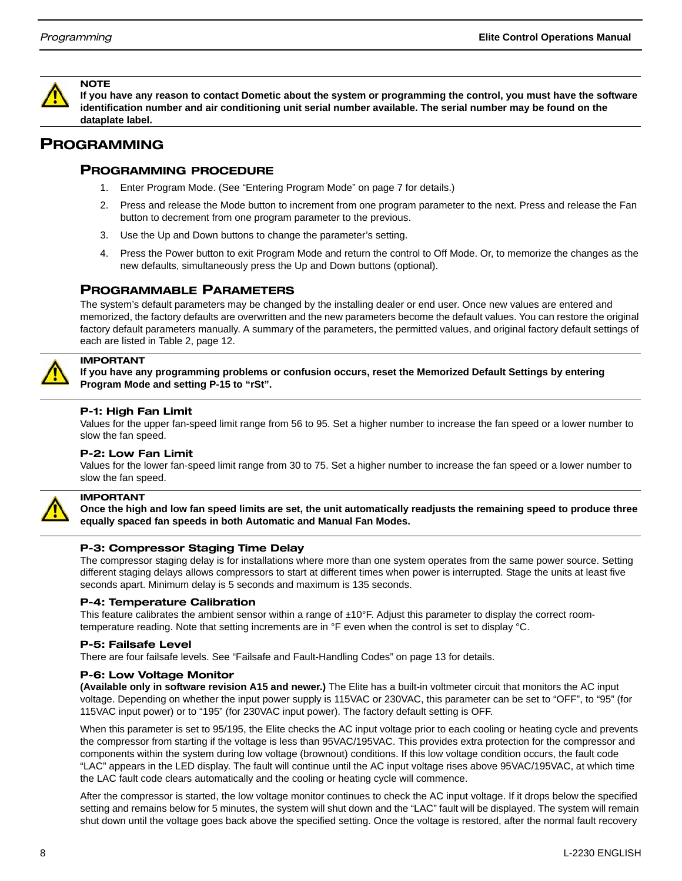

**If you have any reason to contact Dometic about the system or programming the control, you must have the software identification number and air conditioning unit serial number available. The serial number may be found on the dataplate label.**

## PROGRAMMING

#### PROGRAMMING PROCEDURE

- 1. Enter Program Mode. (See "Entering Program Mode" on page 7 for details.)
- 2. Press and release the Mode button to increment from one program parameter to the next. Press and release the Fan button to decrement from one program parameter to the previous.
- 3. Use the Up and Down buttons to change the parameter's setting.
- 4. Press the Power button to exit Program Mode and return the control to Off Mode. Or, to memorize the changes as the new defaults, simultaneously press the Up and Down buttons (optional).

#### PROGRAMMABLE PARAMETERS

The system's default parameters may be changed by the installing dealer or end user. Once new values are entered and memorized, the factory defaults are overwritten and the new parameters become the default values. You can restore the original factory default parameters manually. A summary of the parameters, the permitted values, and original factory default settings of each are listed in Table 2, page 12.



## IMPORTANT

IMPORTANT

**If you have any programming problems or confusion occurs, reset the Memorized Default Settings by entering Program Mode and setting P-15 to "rSt".**

#### P-1: High Fan Limit

Values for the upper fan-speed limit range from 56 to 95. Set a higher number to increase the fan speed or a lower number to slow the fan speed.

#### P-2: Low Fan Limit

Values for the lower fan-speed limit range from 30 to 75. Set a higher number to increase the fan speed or a lower number to slow the fan speed.

**Once the high and low fan speed limits are set, the unit automatically readjusts the remaining speed to produce three equally spaced fan speeds in both Automatic and Manual Fan Modes.**

#### P-3: Compressor Staging Time Delay

The compressor staging delay is for installations where more than one system operates from the same power source. Setting different staging delays allows compressors to start at different times when power is interrupted. Stage the units at least five seconds apart. Minimum delay is 5 seconds and maximum is 135 seconds.

#### P-4: Temperature Calibration

This feature calibrates the ambient sensor within a range of  $\pm 10^\circ$ F. Adjust this parameter to display the correct roomtemperature reading. Note that setting increments are in °F even when the control is set to display °C.

#### P-5: Failsafe Level

There are four failsafe levels. See "Failsafe and Fault-Handling Codes" on page 13 for details.

#### P-6: Low Voltage Monitor

**(Available only in software revision A15 and newer.)** The Elite has a built-in voltmeter circuit that monitors the AC input voltage. Depending on whether the input power supply is 115VAC or 230VAC, this parameter can be set to "OFF", to "95" (for 115VAC input power) or to "195" (for 230VAC input power). The factory default setting is OFF.

When this parameter is set to 95/195, the Elite checks the AC input voltage prior to each cooling or heating cycle and prevents the compressor from starting if the voltage is less than 95VAC/195VAC. This provides extra protection for the compressor and components within the system during low voltage (brownout) conditions. If this low voltage condition occurs, the fault code "LAC" appears in the LED display. The fault will continue until the AC input voltage rises above 95VAC/195VAC, at which time the LAC fault code clears automatically and the cooling or heating cycle will commence.

After the compressor is started, the low voltage monitor continues to check the AC input voltage. If it drops below the specified setting and remains below for 5 minutes, the system will shut down and the "LAC" fault will be displayed. The system will remain shut down until the voltage goes back above the specified setting. Once the voltage is restored, after the normal fault recovery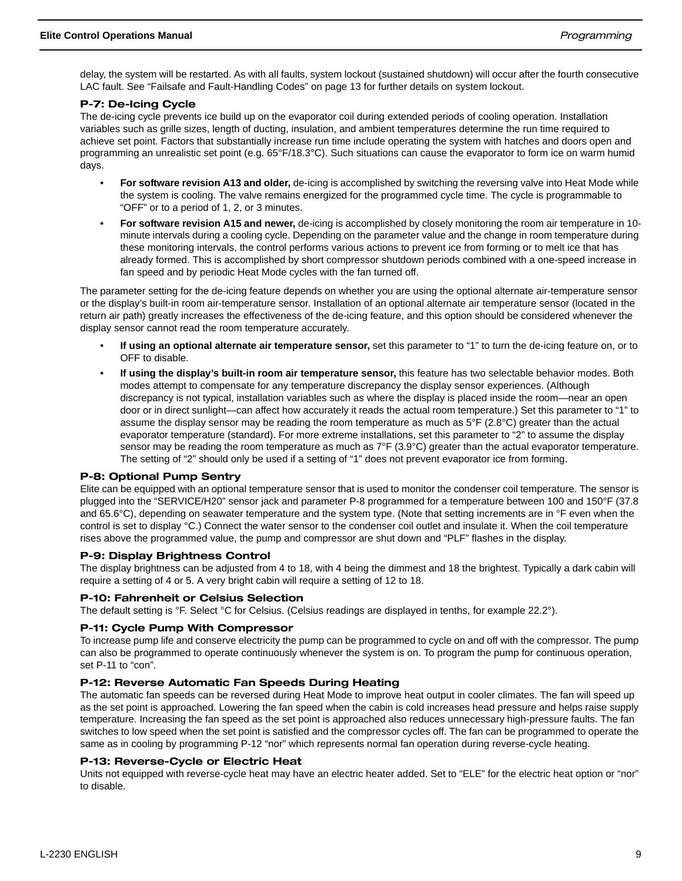delay, the system will be restarted. As with all faults, system lockout (sustained shutdown) will occur after the fourth consecutive LAC fault. See "Failsafe and Fault-Handling Codes" on page 13 for further details on system lockout.

#### P-7: De-Icing Cycle

The de-icing cycle prevents ice build up on the evaporator coil during extended periods of cooling operation. Installation variables such as grille sizes, length of ducting, insulation, and ambient temperatures determine the run time required to achieve set point. Factors that substantially increase run time include operating the system with hatches and doors open and programming an unrealistic set point (e.g. 65°F/18.3°C). Such situations can cause the evaporator to form ice on warm humid days.

- **For software revision A13 and older,** de-icing is accomplished by switching the reversing valve into Heat Mode while the system is cooling. The valve remains energized for the programmed cycle time. The cycle is programmable to "OFF" or to a period of 1, 2, or 3 minutes.
- **For software revision A15 and newer,** de-icing is accomplished by closely monitoring the room air temperature in 10 minute intervals during a cooling cycle. Depending on the parameter value and the change in room temperature during these monitoring intervals, the control performs various actions to prevent ice from forming or to melt ice that has already formed. This is accomplished by short compressor shutdown periods combined with a one-speed increase in fan speed and by periodic Heat Mode cycles with the fan turned off.

The parameter setting for the de-icing feature depends on whether you are using the optional alternate air-temperature sensor or the display's built-in room air-temperature sensor. Installation of an optional alternate air temperature sensor (located in the return air path) greatly increases the effectiveness of the de-icing feature, and this option should be considered whenever the display sensor cannot read the room temperature accurately.

- **If using an optional alternate air temperature sensor,** set this parameter to "1" to turn the de-icing feature on, or to OFF to disable.
- **If using the display's built-in room air temperature sensor,** this feature has two selectable behavior modes. Both modes attempt to compensate for any temperature discrepancy the display sensor experiences. (Although discrepancy is not typical, installation variables such as where the display is placed inside the room—near an open door or in direct sunlight—can affect how accurately it reads the actual room temperature.) Set this parameter to "1" to assume the display sensor may be reading the room temperature as much as 5°F (2.8°C) greater than the actual evaporator temperature (standard). For more extreme installations, set this parameter to "2" to assume the display sensor may be reading the room temperature as much as  $7^{\circ}F(3.9^{\circ}C)$  greater than the actual evaporator temperature. The setting of "2" should only be used if a setting of "1" does not prevent evaporator ice from forming.

#### P-8: Optional Pump Sentry

Elite can be equipped with an optional temperature sensor that is used to monitor the condenser coil temperature. The sensor is plugged into the "SERVICE/H20" sensor jack and parameter P-8 programmed for a temperature between 100 and 150°F (37.8 and 65.6°C), depending on seawater temperature and the system type. (Note that setting increments are in °F even when the control is set to display °C.) Connect the water sensor to the condenser coil outlet and insulate it. When the coil temperature rises above the programmed value, the pump and compressor are shut down and "PLF" flashes in the display.

#### P-9: Display Brightness Control

The display brightness can be adjusted from 4 to 18, with 4 being the dimmest and 18 the brightest. Typically a dark cabin will require a setting of 4 or 5. A very bright cabin will require a setting of 12 to 18.

#### P-10: Fahrenheit or Celsius Selection

The default setting is °F. Select °C for Celsius. (Celsius readings are displayed in tenths, for example 22.2°).

#### P-11: Cycle Pump With Compressor

To increase pump life and conserve electricity the pump can be programmed to cycle on and off with the compressor. The pump can also be programmed to operate continuously whenever the system is on. To program the pump for continuous operation, set P-11 to "con".

#### P-12: Reverse Automatic Fan Speeds During Heating

The automatic fan speeds can be reversed during Heat Mode to improve heat output in cooler climates. The fan will speed up as the set point is approached. Lowering the fan speed when the cabin is cold increases head pressure and helps raise supply temperature. Increasing the fan speed as the set point is approached also reduces unnecessary high-pressure faults. The fan switches to low speed when the set point is satisfied and the compressor cycles off. The fan can be programmed to operate the same as in cooling by programming P-12 "nor" which represents normal fan operation during reverse-cycle heating.

#### P-13: Reverse-Cycle or Electric Heat

Units not equipped with reverse-cycle heat may have an electric heater added. Set to "ELE" for the electric heat option or "nor" to disable.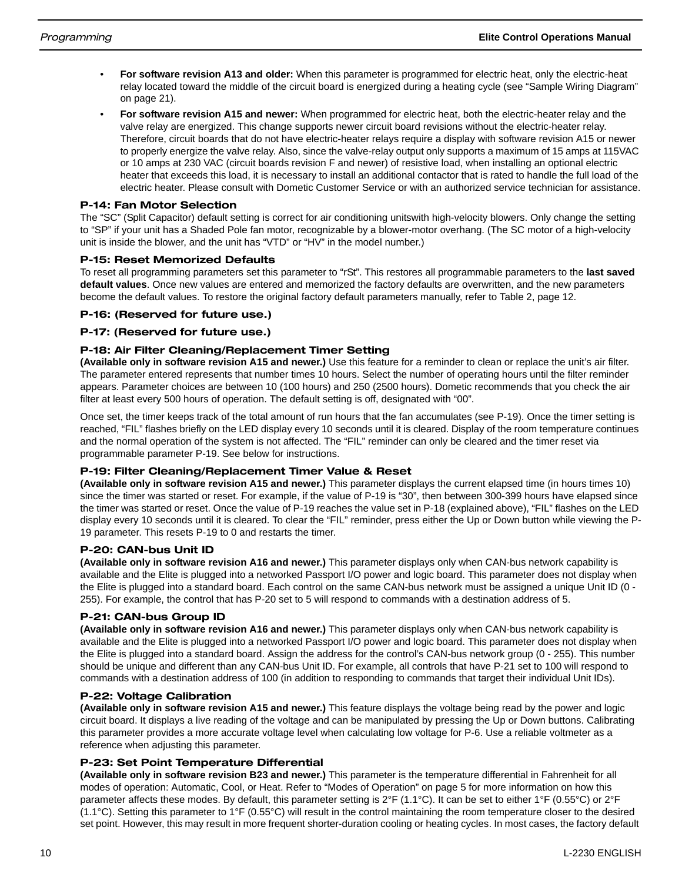- **For software revision A13 and older:** When this parameter is programmed for electric heat, only the electric-heat relay located toward the middle of the circuit board is energized during a heating cycle (see "Sample Wiring Diagram" on page 21).
- **For software revision A15 and newer:** When programmed for electric heat, both the electric-heater relay and the valve relay are energized. This change supports newer circuit board revisions without the electric-heater relay. Therefore, circuit boards that do not have electric-heater relays require a display with software revision A15 or newer to properly energize the valve relay. Also, since the valve-relay output only supports a maximum of 15 amps at 115VAC or 10 amps at 230 VAC (circuit boards revision F and newer) of resistive load, when installing an optional electric heater that exceeds this load, it is necessary to install an additional contactor that is rated to handle the full load of the electric heater. Please consult with Dometic Customer Service or with an authorized service technician for assistance.

#### P-14: Fan Motor Selection

The "SC" (Split Capacitor) default setting is correct for air conditioning unitswith high-velocity blowers. Only change the setting to "SP" if your unit has a Shaded Pole fan motor, recognizable by a blower-motor overhang. (The SC motor of a high-velocity unit is inside the blower, and the unit has "VTD" or "HV" in the model number.)

#### P-15: Reset Memorized Defaults

To reset all programming parameters set this parameter to "rSt". This restores all programmable parameters to the **last saved default values**. Once new values are entered and memorized the factory defaults are overwritten, and the new parameters become the default values. To restore the original factory default parameters manually, refer to Table 2, page 12.

#### P-16: (Reserved for future use.)

#### P-17: (Reserved for future use.)

#### P-18: Air Filter Cleaning/Replacement Timer Setting

**(Available only in software revision A15 and newer.)** Use this feature for a reminder to clean or replace the unit's air filter. The parameter entered represents that number times 10 hours. Select the number of operating hours until the filter reminder appears. Parameter choices are between 10 (100 hours) and 250 (2500 hours). Dometic recommends that you check the air filter at least every 500 hours of operation. The default setting is off, designated with "00".

Once set, the timer keeps track of the total amount of run hours that the fan accumulates (see P-19). Once the timer setting is reached, "FIL" flashes briefly on the LED display every 10 seconds until it is cleared. Display of the room temperature continues and the normal operation of the system is not affected. The "FIL" reminder can only be cleared and the timer reset via programmable parameter P-19. See below for instructions.

#### P-19: Filter Cleaning/Replacement Timer Value & Reset

**(Available only in software revision A15 and newer.)** This parameter displays the current elapsed time (in hours times 10) since the timer was started or reset. For example, if the value of P-19 is "30", then between 300-399 hours have elapsed since the timer was started or reset. Once the value of P-19 reaches the value set in P-18 (explained above), "FIL" flashes on the LED display every 10 seconds until it is cleared. To clear the "FIL" reminder, press either the Up or Down button while viewing the P-19 parameter. This resets P-19 to 0 and restarts the timer.

#### P-20: CAN-bus Unit ID

**(Available only in software revision A16 and newer.)** This parameter displays only when CAN-bus network capability is available and the Elite is plugged into a networked Passport I/O power and logic board. This parameter does not display when the Elite is plugged into a standard board. Each control on the same CAN-bus network must be assigned a unique Unit ID (0 - 255). For example, the control that has P-20 set to 5 will respond to commands with a destination address of 5.

#### P-21: CAN-bus Group ID

**(Available only in software revision A16 and newer.)** This parameter displays only when CAN-bus network capability is available and the Elite is plugged into a networked Passport I/O power and logic board. This parameter does not display when the Elite is plugged into a standard board. Assign the address for the control's CAN-bus network group (0 - 255). This number should be unique and different than any CAN-bus Unit ID. For example, all controls that have P-21 set to 100 will respond to commands with a destination address of 100 (in addition to responding to commands that target their individual Unit IDs).

#### P-22: Voltage Calibration

**(Available only in software revision A15 and newer.)** This feature displays the voltage being read by the power and logic circuit board. It displays a live reading of the voltage and can be manipulated by pressing the Up or Down buttons. Calibrating this parameter provides a more accurate voltage level when calculating low voltage for P-6. Use a reliable voltmeter as a reference when adjusting this parameter.

#### P-23: Set Point Temperature Differential

**(Available only in software revision B23 and newer.)** This parameter is the temperature differential in Fahrenheit for all modes of operation: Automatic, Cool, or Heat. Refer to "Modes of Operation" on page 5 for more information on how this parameter affects these modes. By default, this parameter setting is 2°F (1.1°C). It can be set to either 1°F (0.55°C) or 2°F (1.1°C). Setting this parameter to 1°F (0.55°C) will result in the control maintaining the room temperature closer to the desired set point. However, this may result in more frequent shorter-duration cooling or heating cycles. In most cases, the factory default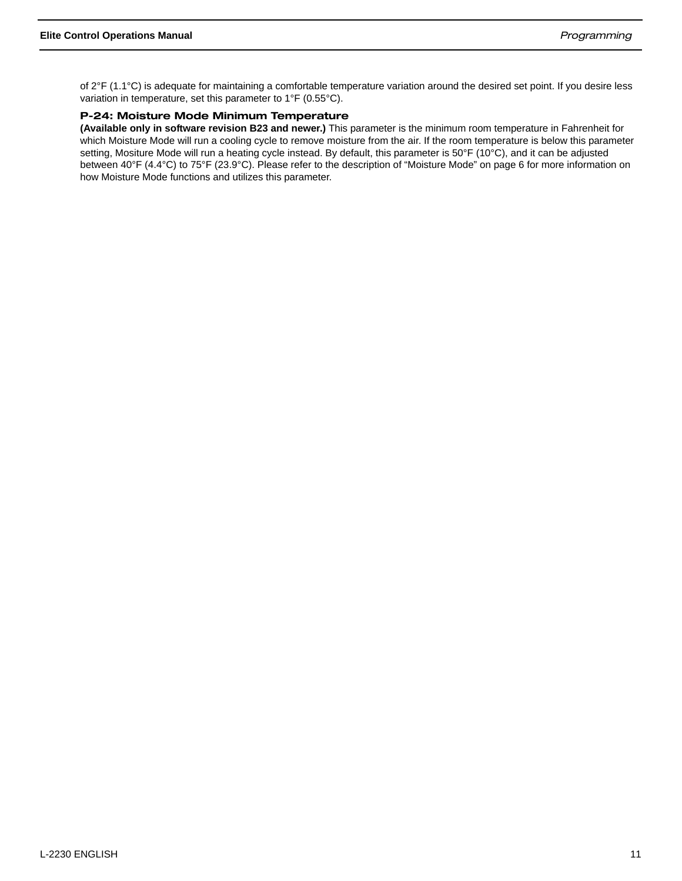of 2°F (1.1°C) is adequate for maintaining a comfortable temperature variation around the desired set point. If you desire less variation in temperature, set this parameter to 1°F (0.55°C).

#### P-24: Moisture Mode Minimum Temperature

**(Available only in software revision B23 and newer.)** This parameter is the minimum room temperature in Fahrenheit for which Moisture Mode will run a cooling cycle to remove moisture from the air. If the room temperature is below this parameter setting, Mositure Mode will run a heating cycle instead. By default, this parameter is 50°F (10°C), and it can be adjusted between 40°F (4.4°C) to 75°F (23.9°C). Please refer to the description of "Moisture Mode" on page 6 for more information on how Moisture Mode functions and utilizes this parameter.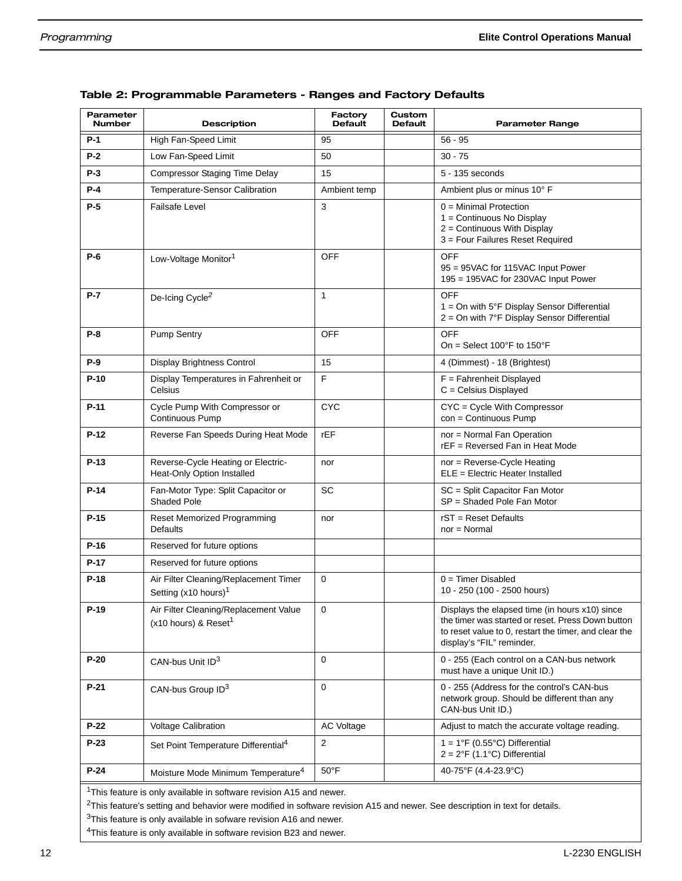| Parameter<br><b>Number</b> | <b>Description</b>                                                        | Factory<br><b>Default</b> | Custom<br><b>Default</b> | <b>Parameter Range</b>                                                                                                                                                                    |
|----------------------------|---------------------------------------------------------------------------|---------------------------|--------------------------|-------------------------------------------------------------------------------------------------------------------------------------------------------------------------------------------|
| $P-1$                      | High Fan-Speed Limit                                                      | 95                        |                          | $56 - 95$                                                                                                                                                                                 |
| $P-2$                      | Low Fan-Speed Limit                                                       | 50                        |                          | $30 - 75$                                                                                                                                                                                 |
| $P-3$                      | <b>Compressor Staging Time Delay</b>                                      | 15                        |                          | 5 - 135 seconds                                                                                                                                                                           |
| $P-4$                      | Temperature-Sensor Calibration                                            | Ambient temp              |                          | Ambient plus or minus 10° F                                                                                                                                                               |
| $P-5$                      | <b>Failsafe Level</b>                                                     | 3                         |                          | $0 =$ Minimal Protection<br>1 = Continuous No Display<br>2 = Continuous With Display<br>3 = Four Failures Reset Required                                                                  |
| $P-6$                      | Low-Voltage Monitor <sup>1</sup>                                          | OFF                       |                          | <b>OFF</b><br>95 = 95VAC for 115VAC Input Power<br>195 = 195VAC for 230VAC Input Power                                                                                                    |
| $P-7$                      | De-Icing Cycle <sup>2</sup>                                               | $\mathbf{1}$              |                          | <b>OFF</b><br>$1 =$ On with 5°F Display Sensor Differential<br>2 = On with 7°F Display Sensor Differential                                                                                |
| $P-8$                      | <b>Pump Sentry</b>                                                        | <b>OFF</b>                |                          | OFF<br>On = Select $100^{\circ}$ F to $150^{\circ}$ F                                                                                                                                     |
| P-9                        | <b>Display Brightness Control</b>                                         | 15                        |                          | 4 (Dimmest) - 18 (Brightest)                                                                                                                                                              |
| $P-10$                     | Display Temperatures in Fahrenheit or<br>Celsius                          | $\mathsf F$               |                          | $F =$ Fahrenheit Displayed<br>$C =$ Celsius Displayed                                                                                                                                     |
| $P-11$                     | Cycle Pump With Compressor or<br>Continuous Pump                          | <b>CYC</b>                |                          | CYC = Cycle With Compressor<br>con = Continuous Pump                                                                                                                                      |
| $P-12$                     | Reverse Fan Speeds During Heat Mode                                       | rEF                       |                          | nor = Normal Fan Operation<br>rEF = Reversed Fan in Heat Mode                                                                                                                             |
| $P-13$                     | Reverse-Cycle Heating or Electric-<br>Heat-Only Option Installed          | nor                       |                          | nor = Reverse-Cycle Heating<br>$ELE = Electric Heart$ Installed                                                                                                                           |
| $P-14$                     | Fan-Motor Type: Split Capacitor or<br><b>Shaded Pole</b>                  | <b>SC</b>                 |                          | SC = Split Capacitor Fan Motor<br>SP = Shaded Pole Fan Motor                                                                                                                              |
| $P-15$                     | Reset Memorized Programming<br><b>Defaults</b>                            | nor                       |                          | $rST =$ Reset Defaults<br>$nor = Normal$                                                                                                                                                  |
| $P-16$                     | Reserved for future options                                               |                           |                          |                                                                                                                                                                                           |
| $P-17$                     | Reserved for future options                                               |                           |                          |                                                                                                                                                                                           |
| $P-18$                     | Air Filter Cleaning/Replacement Timer<br>Setting (x10 hours) <sup>1</sup> | $\mathbf 0$               |                          | $0 =$ Timer Disabled<br>10 - 250 (100 - 2500 hours)                                                                                                                                       |
| $P-19$                     | Air Filter Cleaning/Replacement Value<br>(x10 hours) & Reset <sup>1</sup> | 0                         |                          | Displays the elapsed time (in hours x10) since<br>the timer was started or reset. Press Down button<br>to reset value to 0, restart the timer, and clear the<br>display's "FIL" reminder. |
| $P-20$                     | CAN-bus Unit ID <sup>3</sup>                                              | $\mathbf 0$               |                          | 0 - 255 (Each control on a CAN-bus network<br>must have a unique Unit ID.)                                                                                                                |
| $P-21$                     | CAN-bus Group ID <sup>3</sup>                                             | $\mathbf 0$               |                          | 0 - 255 (Address for the control's CAN-bus<br>network group. Should be different than any<br>CAN-bus Unit ID.)                                                                            |
| $P-22$                     | <b>Voltage Calibration</b>                                                | <b>AC Voltage</b>         |                          | Adjust to match the accurate voltage reading.                                                                                                                                             |
| $P-23$                     | Set Point Temperature Differential <sup>4</sup>                           | 2                         |                          | $1 = 1^{\circ}F (0.55^{\circ}C)$ Differential<br>$2 = 2^{\circ}F(1.1^{\circ}C)$ Differential                                                                                              |
| $P-24$                     | Moisture Mode Minimum Temperature <sup>4</sup>                            | $50^{\circ}$ F            |                          | 40-75°F (4.4-23.9°C)                                                                                                                                                                      |
|                            |                                                                           |                           |                          |                                                                                                                                                                                           |

#### Table 2: Programmable Parameters - Ranges and Factory Defaults

<sup>1</sup>This feature is only available in software revision A15 and newer.

 $2$ This feature's setting and behavior were modified in software revision A15 and newer. See description in text for details.

<sup>3</sup>This feature is only available in sofware revision A16 and newer.

4This feature is only available in software revision B23 and newer.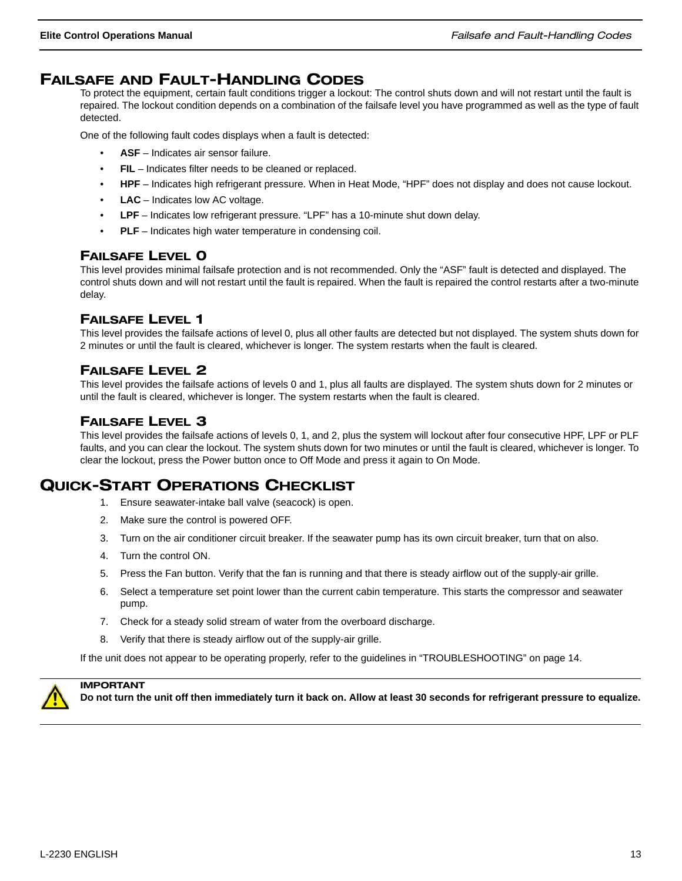## FAILSAFE AND FAULT-HANDLING CODES

To protect the equipment, certain fault conditions trigger a lockout: The control shuts down and will not restart until the fault is repaired. The lockout condition depends on a combination of the failsafe level you have programmed as well as the type of fault detected.

One of the following fault codes displays when a fault is detected:

- **ASF** Indicates air sensor failure.
- **FIL** Indicates filter needs to be cleaned or replaced.
- **HPF**  Indicates high refrigerant pressure. When in Heat Mode, "HPF" does not display and does not cause lockout.
- **LAC** Indicates low AC voltage.
- **LPF** Indicates low refrigerant pressure. "LPF" has a 10-minute shut down delay.
- **PLF** Indicates high water temperature in condensing coil.

#### FAILSAFE LEVEL 0

This level provides minimal failsafe protection and is not recommended. Only the "ASF" fault is detected and displayed. The control shuts down and will not restart until the fault is repaired. When the fault is repaired the control restarts after a two-minute delay.

#### FAILSAFE LEVEL 1

This level provides the failsafe actions of level 0, plus all other faults are detected but not displayed. The system shuts down for 2 minutes or until the fault is cleared, whichever is longer. The system restarts when the fault is cleared.

### FAILSAFE LEVEL 2

This level provides the failsafe actions of levels 0 and 1, plus all faults are displayed. The system shuts down for 2 minutes or until the fault is cleared, whichever is longer. The system restarts when the fault is cleared.

### FAILSAFE LEVEL 3

This level provides the failsafe actions of levels 0, 1, and 2, plus the system will lockout after four consecutive HPF, LPF or PLF faults, and you can clear the lockout. The system shuts down for two minutes or until the fault is cleared, whichever is longer. To clear the lockout, press the Power button once to Off Mode and press it again to On Mode.

## QUICK-START OPERATIONS CHECKLIST

- 1. Ensure seawater-intake ball valve (seacock) is open.
- 2. Make sure the control is powered OFF.
- 3. Turn on the air conditioner circuit breaker. If the seawater pump has its own circuit breaker, turn that on also.
- 4. Turn the control ON.
- 5. Press the Fan button. Verify that the fan is running and that there is steady airflow out of the supply-air grille.
- 6. Select a temperature set point lower than the current cabin temperature. This starts the compressor and seawater pump.
- 7. Check for a steady solid stream of water from the overboard discharge.
- 8. Verify that there is steady airflow out of the supply-air grille.

If the unit does not appear to be operating properly, refer to the guidelines in "TROUBLESHOOTING" on page 14.



IMPORTANT

**Do not turn the unit off then immediately turn it back on. Allow at least 30 seconds for refrigerant pressure to equalize.**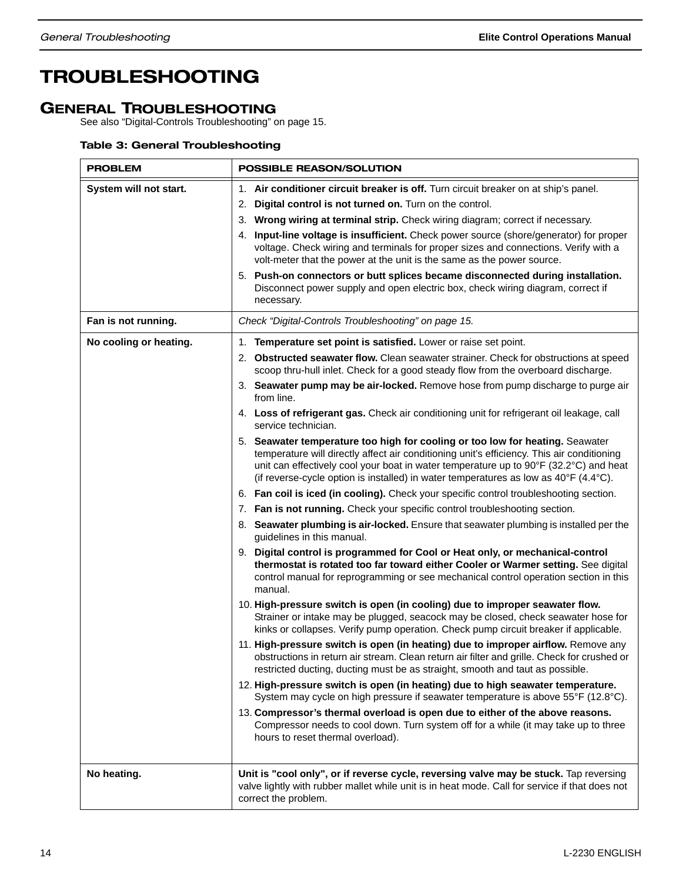## TROUBLESHOOTING

## GENERAL TROUBLESHOOTING

See also "Digital-Controls Troubleshooting" on page 15.

#### Table 3: General Troubleshooting

| <b>PROBLEM</b>         | <b>POSSIBLE REASON/SOLUTION</b>                                                                                                                                                                                                                                                                                                                                                                                                                                                                                                                                                                                                                                                                                                                                                                                                                                                                                                                                                                                                                                                                                                                                                                                                                                                                                                                                                                                                                                                                                                                                                                                                                                                                                                                                                                                                                                                                                                                                                                                                                                                                                                                                                                                                                                                                                                                           |  |  |
|------------------------|-----------------------------------------------------------------------------------------------------------------------------------------------------------------------------------------------------------------------------------------------------------------------------------------------------------------------------------------------------------------------------------------------------------------------------------------------------------------------------------------------------------------------------------------------------------------------------------------------------------------------------------------------------------------------------------------------------------------------------------------------------------------------------------------------------------------------------------------------------------------------------------------------------------------------------------------------------------------------------------------------------------------------------------------------------------------------------------------------------------------------------------------------------------------------------------------------------------------------------------------------------------------------------------------------------------------------------------------------------------------------------------------------------------------------------------------------------------------------------------------------------------------------------------------------------------------------------------------------------------------------------------------------------------------------------------------------------------------------------------------------------------------------------------------------------------------------------------------------------------------------------------------------------------------------------------------------------------------------------------------------------------------------------------------------------------------------------------------------------------------------------------------------------------------------------------------------------------------------------------------------------------------------------------------------------------------------------------------------------------|--|--|
| System will not start. | 1. Air conditioner circuit breaker is off. Turn circuit breaker on at ship's panel.<br>2. Digital control is not turned on. Turn on the control.<br>3. Wrong wiring at terminal strip. Check wiring diagram; correct if necessary.<br>4. Input-line voltage is insufficient. Check power source (shore/generator) for proper<br>voltage. Check wiring and terminals for proper sizes and connections. Verify with a<br>volt-meter that the power at the unit is the same as the power source.<br>5. Push-on connectors or butt splices became disconnected during installation.<br>Disconnect power supply and open electric box, check wiring diagram, correct if<br>necessary.                                                                                                                                                                                                                                                                                                                                                                                                                                                                                                                                                                                                                                                                                                                                                                                                                                                                                                                                                                                                                                                                                                                                                                                                                                                                                                                                                                                                                                                                                                                                                                                                                                                                          |  |  |
| Fan is not running.    | Check "Digital-Controls Troubleshooting" on page 15.                                                                                                                                                                                                                                                                                                                                                                                                                                                                                                                                                                                                                                                                                                                                                                                                                                                                                                                                                                                                                                                                                                                                                                                                                                                                                                                                                                                                                                                                                                                                                                                                                                                                                                                                                                                                                                                                                                                                                                                                                                                                                                                                                                                                                                                                                                      |  |  |
| No cooling or heating. | 1. Temperature set point is satisfied. Lower or raise set point.<br>2. Obstructed seawater flow. Clean seawater strainer. Check for obstructions at speed<br>scoop thru-hull inlet. Check for a good steady flow from the overboard discharge.<br>3. Seawater pump may be air-locked. Remove hose from pump discharge to purge air<br>from line.<br>4. Loss of refrigerant gas. Check air conditioning unit for refrigerant oil leakage, call<br>service technician.<br>5. Seawater temperature too high for cooling or too low for heating. Seawater<br>temperature will directly affect air conditioning unit's efficiency. This air conditioning<br>unit can effectively cool your boat in water temperature up to 90°F (32.2°C) and heat<br>(if reverse-cycle option is installed) in water temperatures as low as $40^{\circ}F$ (4.4 $^{\circ}C$ ).<br>6. Fan coil is iced (in cooling). Check your specific control troubleshooting section.<br>7. Fan is not running. Check your specific control troubleshooting section.<br>8. Seawater plumbing is air-locked. Ensure that seawater plumbing is installed per the<br>guidelines in this manual.<br>9. Digital control is programmed for Cool or Heat only, or mechanical-control<br>thermostat is rotated too far toward either Cooler or Warmer setting. See digital<br>control manual for reprogramming or see mechanical control operation section in this<br>manual.<br>10. High-pressure switch is open (in cooling) due to improper seawater flow.<br>Strainer or intake may be plugged, seacock may be closed, check seawater hose for<br>kinks or collapses. Verify pump operation. Check pump circuit breaker if applicable.<br>11. High-pressure switch is open (in heating) due to improper airflow. Remove any<br>obstructions in return air stream. Clean return air filter and grille. Check for crushed or<br>restricted ducting, ducting must be as straight, smooth and taut as possible.<br>12. High-pressure switch is open (in heating) due to high seawater temperature.<br>System may cycle on high pressure if seawater temperature is above 55°F (12.8°C).<br>13. Compressor's thermal overload is open due to either of the above reasons.<br>Compressor needs to cool down. Turn system off for a while (it may take up to three<br>hours to reset thermal overload). |  |  |
| No heating.            | Unit is "cool only", or if reverse cycle, reversing valve may be stuck. Tap reversing<br>valve lightly with rubber mallet while unit is in heat mode. Call for service if that does not<br>correct the problem.                                                                                                                                                                                                                                                                                                                                                                                                                                                                                                                                                                                                                                                                                                                                                                                                                                                                                                                                                                                                                                                                                                                                                                                                                                                                                                                                                                                                                                                                                                                                                                                                                                                                                                                                                                                                                                                                                                                                                                                                                                                                                                                                           |  |  |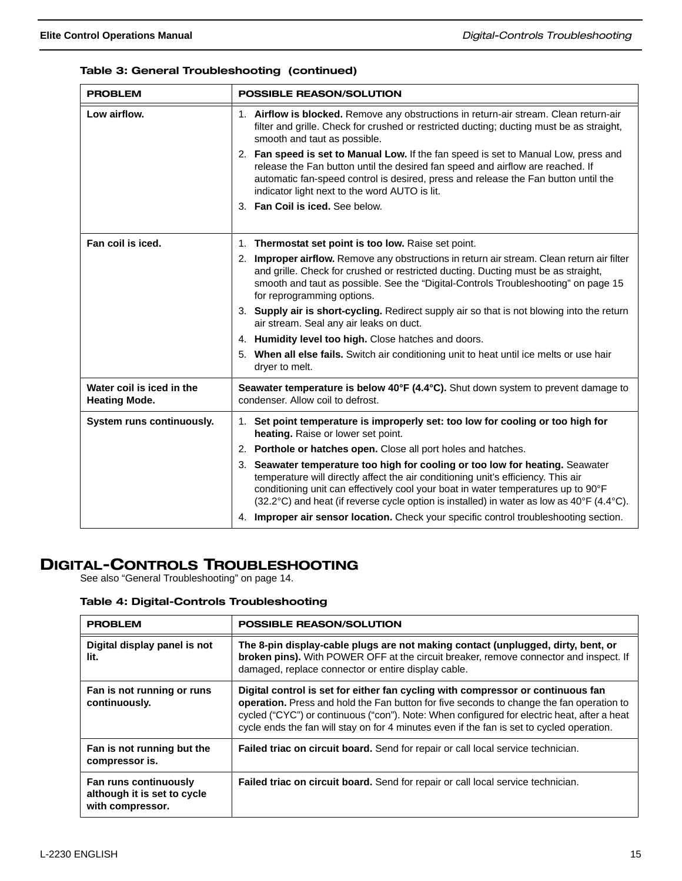#### Table 3: General Troubleshooting (continued)

| <b>PROBLEM</b>                                    | <b>POSSIBLE REASON/SOLUTION</b>                                                                                                                                                                                                                                                                                                                               |  |  |
|---------------------------------------------------|---------------------------------------------------------------------------------------------------------------------------------------------------------------------------------------------------------------------------------------------------------------------------------------------------------------------------------------------------------------|--|--|
| Low airflow.                                      | 1. Airflow is blocked. Remove any obstructions in return-air stream. Clean return-air<br>filter and grille. Check for crushed or restricted ducting; ducting must be as straight,<br>smooth and taut as possible.                                                                                                                                             |  |  |
|                                                   | 2. Fan speed is set to Manual Low. If the fan speed is set to Manual Low, press and<br>release the Fan button until the desired fan speed and airflow are reached. If<br>automatic fan-speed control is desired, press and release the Fan button until the<br>indicator light next to the word AUTO is lit.                                                  |  |  |
|                                                   | 3. Fan Coil is iced. See below.                                                                                                                                                                                                                                                                                                                               |  |  |
| Fan coil is iced.                                 | 1. Thermostat set point is too low. Raise set point.                                                                                                                                                                                                                                                                                                          |  |  |
|                                                   | 2. Improper airflow. Remove any obstructions in return air stream. Clean return air filter<br>and grille. Check for crushed or restricted ducting. Ducting must be as straight,<br>smooth and taut as possible. See the "Digital-Controls Troubleshooting" on page 15<br>for reprogramming options.                                                           |  |  |
|                                                   | 3. Supply air is short-cycling. Redirect supply air so that is not blowing into the return<br>air stream. Seal any air leaks on duct.                                                                                                                                                                                                                         |  |  |
|                                                   | 4. Humidity level too high. Close hatches and doors.                                                                                                                                                                                                                                                                                                          |  |  |
|                                                   | 5. When all else fails. Switch air conditioning unit to heat until ice melts or use hair<br>dryer to melt.                                                                                                                                                                                                                                                    |  |  |
| Water coil is iced in the<br><b>Heating Mode.</b> | Seawater temperature is below 40°F (4.4°C). Shut down system to prevent damage to<br>condenser. Allow coil to defrost.                                                                                                                                                                                                                                        |  |  |
| System runs continuously.                         | Set point temperature is improperly set: too low for cooling or too high for<br>1.<br>heating. Raise or lower set point.                                                                                                                                                                                                                                      |  |  |
|                                                   | 2. Porthole or hatches open. Close all port holes and hatches.                                                                                                                                                                                                                                                                                                |  |  |
|                                                   | 3. Seawater temperature too high for cooling or too low for heating. Seawater<br>temperature will directly affect the air conditioning unit's efficiency. This air<br>conditioning unit can effectively cool your boat in water temperatures up to 90°F<br>$(32.2^{\circ}C)$ and heat (if reverse cycle option is installed) in water as low as 40°F (4.4°C). |  |  |
|                                                   | 4. Improper air sensor location. Check your specific control troubleshooting section.                                                                                                                                                                                                                                                                         |  |  |

## DIGITAL-CONTROLS TROUBLESHOOTING

See also "General Troubleshooting" on page 14.

#### Table 4: Digital-Controls Troubleshooting

| <b>PROBLEM</b>                                                           | <b>POSSIBLE REASON/SOLUTION</b>                                                                                                                                                                                                                                                                                                                                                |  |  |  |
|--------------------------------------------------------------------------|--------------------------------------------------------------------------------------------------------------------------------------------------------------------------------------------------------------------------------------------------------------------------------------------------------------------------------------------------------------------------------|--|--|--|
| Digital display panel is not<br>lit.                                     | The 8-pin display-cable plugs are not making contact (unplugged, dirty, bent, or<br>broken pins). With POWER OFF at the circuit breaker, remove connector and inspect. If<br>damaged, replace connector or entire display cable.                                                                                                                                               |  |  |  |
| Fan is not running or runs<br>continuously.                              | Digital control is set for either fan cycling with compressor or continuous fan<br><b>operation.</b> Press and hold the Fan button for five seconds to change the fan operation to<br>cycled ("CYC") or continuous ("con"). Note: When configured for electric heat, after a heat<br>cycle ends the fan will stay on for 4 minutes even if the fan is set to cycled operation. |  |  |  |
| Fan is not running but the<br>compressor is.                             | Failed triac on circuit board. Send for repair or call local service technician.                                                                                                                                                                                                                                                                                               |  |  |  |
| Fan runs continuously<br>although it is set to cycle<br>with compressor. | <b>Failed triac on circuit board.</b> Send for repair or call local service technician.                                                                                                                                                                                                                                                                                        |  |  |  |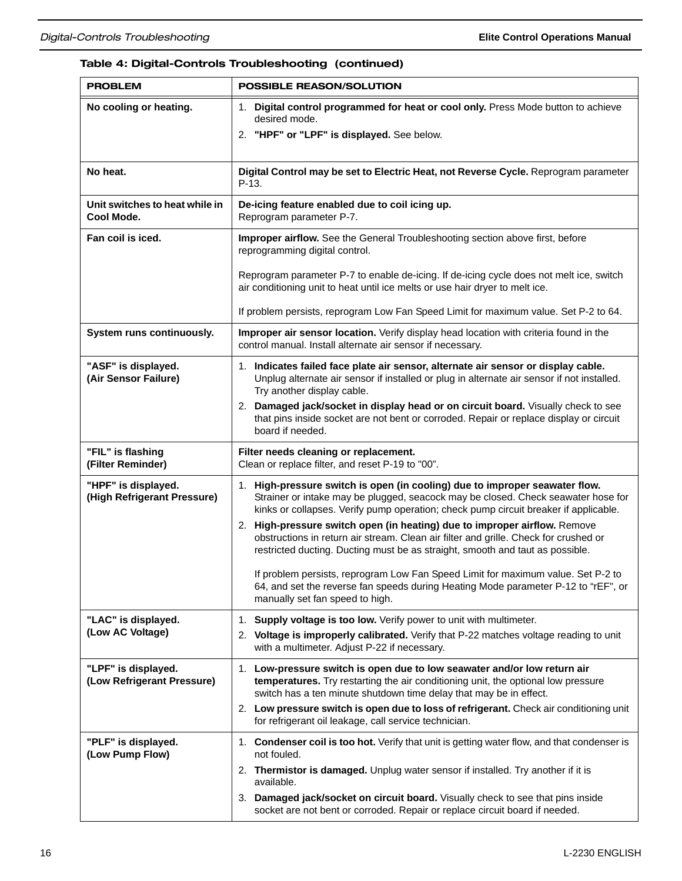## Table 4: Digital-Controls Troubleshooting (continued)

| <b>PROBLEM</b>                                     | <b>POSSIBLE REASON/SOLUTION</b>                                                                                                                                                                                                                          |  |  |  |
|----------------------------------------------------|----------------------------------------------------------------------------------------------------------------------------------------------------------------------------------------------------------------------------------------------------------|--|--|--|
| No cooling or heating.                             | 1. Digital control programmed for heat or cool only. Press Mode button to achieve<br>desired mode.                                                                                                                                                       |  |  |  |
|                                                    | 2. "HPF" or "LPF" is displayed. See below.                                                                                                                                                                                                               |  |  |  |
| No heat.                                           | Digital Control may be set to Electric Heat, not Reverse Cycle. Reprogram parameter<br>$P-13.$                                                                                                                                                           |  |  |  |
| Unit switches to heat while in<br>Cool Mode.       | De-icing feature enabled due to coil icing up.<br>Reprogram parameter P-7.                                                                                                                                                                               |  |  |  |
| Fan coil is iced.                                  | Improper airflow. See the General Troubleshooting section above first, before<br>reprogramming digital control.                                                                                                                                          |  |  |  |
|                                                    | Reprogram parameter P-7 to enable de-icing. If de-icing cycle does not melt ice, switch<br>air conditioning unit to heat until ice melts or use hair dryer to melt ice.                                                                                  |  |  |  |
|                                                    | If problem persists, reprogram Low Fan Speed Limit for maximum value. Set P-2 to 64.                                                                                                                                                                     |  |  |  |
| System runs continuously.                          | Improper air sensor location. Verify display head location with criteria found in the<br>control manual. Install alternate air sensor if necessary.                                                                                                      |  |  |  |
| "ASF" is displayed.<br>(Air Sensor Failure)        | 1. Indicates failed face plate air sensor, alternate air sensor or display cable.<br>Unplug alternate air sensor if installed or plug in alternate air sensor if not installed.<br>Try another display cable.                                            |  |  |  |
|                                                    | Damaged jack/socket in display head or on circuit board. Visually check to see<br>2.<br>that pins inside socket are not bent or corroded. Repair or replace display or circuit<br>board if needed.                                                       |  |  |  |
| "FIL" is flashing<br>(Filter Reminder)             | Filter needs cleaning or replacement.<br>Clean or replace filter, and reset P-19 to "00".                                                                                                                                                                |  |  |  |
| "HPF" is displayed.<br>(High Refrigerant Pressure) | 1. High-pressure switch is open (in cooling) due to improper seawater flow.<br>Strainer or intake may be plugged, seacock may be closed. Check seawater hose for<br>kinks or collapses. Verify pump operation; check pump circuit breaker if applicable. |  |  |  |
|                                                    | 2. High-pressure switch open (in heating) due to improper airflow. Remove<br>obstructions in return air stream. Clean air filter and grille. Check for crushed or<br>restricted ducting. Ducting must be as straight, smooth and taut as possible.       |  |  |  |
|                                                    | If problem persists, reprogram Low Fan Speed Limit for maximum value. Set P-2 to<br>64, and set the reverse fan speeds during Heating Mode parameter P-12 to "rEF", or<br>manually set fan speed to high.                                                |  |  |  |
| "LAC" is displayed.                                | 1. Supply voltage is too low. Verify power to unit with multimeter.                                                                                                                                                                                      |  |  |  |
| (Low AC Voltage)                                   | 2. Voltage is improperly calibrated. Verify that P-22 matches voltage reading to unit<br>with a multimeter. Adjust P-22 if necessary.                                                                                                                    |  |  |  |
| "LPF" is displayed.<br>(Low Refrigerant Pressure)  | Low-pressure switch is open due to low seawater and/or low return air<br>1.<br>temperatures. Try restarting the air conditioning unit, the optional low pressure<br>switch has a ten minute shutdown time delay that may be in effect.                   |  |  |  |
|                                                    | 2. Low pressure switch is open due to loss of refrigerant. Check air conditioning unit<br>for refrigerant oil leakage, call service technician.                                                                                                          |  |  |  |
| "PLF" is displayed.<br>(Low Pump Flow)             | 1. Condenser coil is too hot. Verify that unit is getting water flow, and that condenser is<br>not fouled.                                                                                                                                               |  |  |  |
|                                                    | 2. Thermistor is damaged. Unplug water sensor if installed. Try another if it is<br>available.                                                                                                                                                           |  |  |  |
|                                                    | 3. Damaged jack/socket on circuit board. Visually check to see that pins inside<br>socket are not bent or corroded. Repair or replace circuit board if needed.                                                                                           |  |  |  |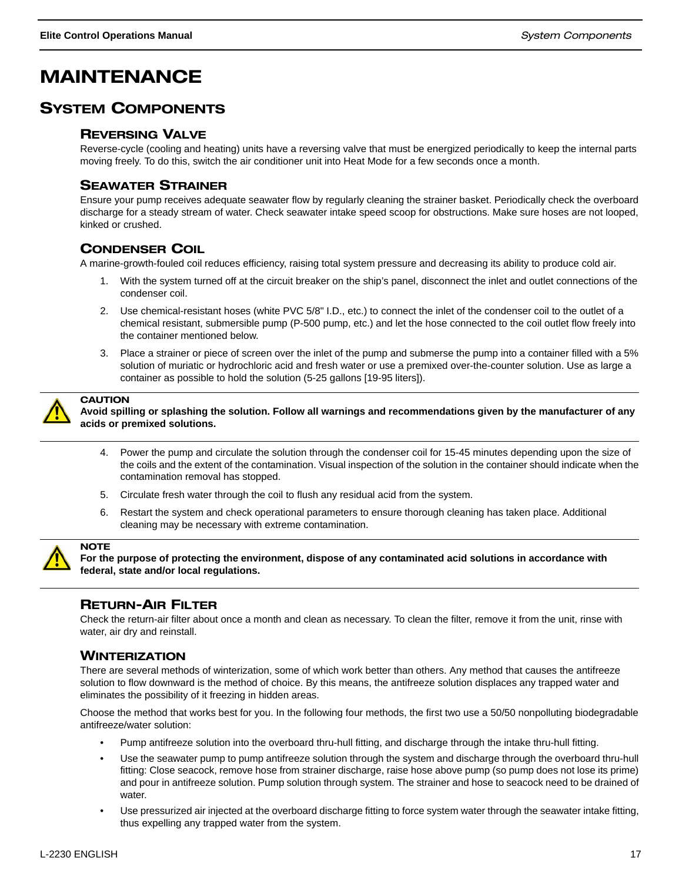## MAINTENANCE

## SYSTEM COMPONENTS

#### REVERSING VALVE

Reverse-cycle (cooling and heating) units have a reversing valve that must be energized periodically to keep the internal parts moving freely. To do this, switch the air conditioner unit into Heat Mode for a few seconds once a month.

## SEAWATER STRAINER

Ensure your pump receives adequate seawater flow by regularly cleaning the strainer basket. Periodically check the overboard discharge for a steady stream of water. Check seawater intake speed scoop for obstructions. Make sure hoses are not looped, kinked or crushed.

## CONDENSER COIL

A marine-growth-fouled coil reduces efficiency, raising total system pressure and decreasing its ability to produce cold air.

- 1. With the system turned off at the circuit breaker on the ship's panel, disconnect the inlet and outlet connections of the condenser coil.
- 2. Use chemical-resistant hoses (white PVC 5/8" I.D., etc.) to connect the inlet of the condenser coil to the outlet of a chemical resistant, submersible pump (P-500 pump, etc.) and let the hose connected to the coil outlet flow freely into the container mentioned below.
- 3. Place a strainer or piece of screen over the inlet of the pump and submerse the pump into a container filled with a 5% solution of muriatic or hydrochloric acid and fresh water or use a premixed over-the-counter solution. Use as large a container as possible to hold the solution (5-25 gallons [19-95 liters]).



#### **CAUTION**

**Avoid spilling or splashing the solution. Follow all warnings and recommendations given by the manufacturer of any acids or premixed solutions.**

- 4. Power the pump and circulate the solution through the condenser coil for 15-45 minutes depending upon the size of the coils and the extent of the contamination. Visual inspection of the solution in the container should indicate when the contamination removal has stopped.
- 5. Circulate fresh water through the coil to flush any residual acid from the system.
- 6. Restart the system and check operational parameters to ensure thorough cleaning has taken place. Additional cleaning may be necessary with extreme contamination.



#### **NOTE**

**For the purpose of protecting the environment, dispose of any contaminated acid solutions in accordance with federal, state and/or local regulations.**

## RETURN-AIR FILTER

Check the return-air filter about once a month and clean as necessary. To clean the filter, remove it from the unit, rinse with water, air dry and reinstall.

#### **WINTERIZATION**

There are several methods of winterization, some of which work better than others. Any method that causes the antifreeze solution to flow downward is the method of choice. By this means, the antifreeze solution displaces any trapped water and eliminates the possibility of it freezing in hidden areas.

Choose the method that works best for you. In the following four methods, the first two use a 50/50 nonpolluting biodegradable antifreeze/water solution:

- Pump antifreeze solution into the overboard thru-hull fitting, and discharge through the intake thru-hull fitting.
- Use the seawater pump to pump antifreeze solution through the system and discharge through the overboard thru-hull fitting: Close seacock, remove hose from strainer discharge, raise hose above pump (so pump does not lose its prime) and pour in antifreeze solution. Pump solution through system. The strainer and hose to seacock need to be drained of water.
- Use pressurized air injected at the overboard discharge fitting to force system water through the seawater intake fitting, thus expelling any trapped water from the system.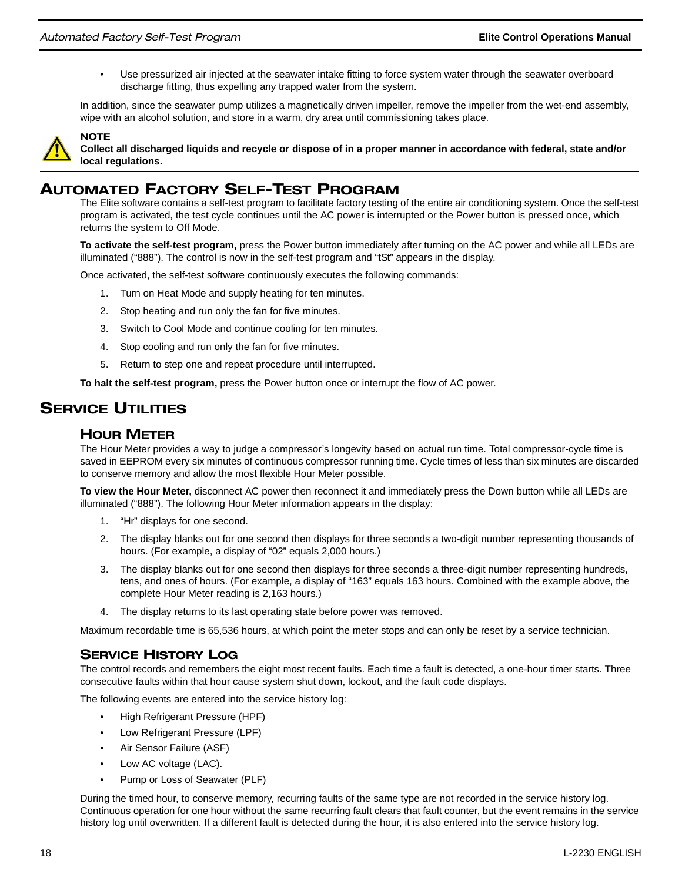• Use pressurized air injected at the seawater intake fitting to force system water through the seawater overboard discharge fitting, thus expelling any trapped water from the system.

In addition, since the seawater pump utilizes a magnetically driven impeller, remove the impeller from the wet-end assembly, wipe with an alcohol solution, and store in a warm, dry area until commissioning takes place.



**NOTE** 

#### **Collect all discharged liquids and recycle or dispose of in a proper manner in accordance with federal, state and/or local regulations.**

## AUTOMATED FACTORY SELF-TEST PROGRAM

The Elite software contains a self-test program to facilitate factory testing of the entire air conditioning system. Once the self-test program is activated, the test cycle continues until the AC power is interrupted or the Power button is pressed once, which returns the system to Off Mode.

**To activate the self-test program,** press the Power button immediately after turning on the AC power and while all LEDs are illuminated ("888"). The control is now in the self-test program and "tSt" appears in the display.

Once activated, the self-test software continuously executes the following commands:

- 1. Turn on Heat Mode and supply heating for ten minutes.
- 2. Stop heating and run only the fan for five minutes.
- 3. Switch to Cool Mode and continue cooling for ten minutes.
- 4. Stop cooling and run only the fan for five minutes.
- 5. Return to step one and repeat procedure until interrupted.

**To halt the self-test program,** press the Power button once or interrupt the flow of AC power.

## **SERVICE UTILITIES**

#### HOUR METER

The Hour Meter provides a way to judge a compressor's longevity based on actual run time. Total compressor-cycle time is saved in EEPROM every six minutes of continuous compressor running time. Cycle times of less than six minutes are discarded to conserve memory and allow the most flexible Hour Meter possible.

**To view the Hour Meter,** disconnect AC power then reconnect it and immediately press the Down button while all LEDs are illuminated ("888"). The following Hour Meter information appears in the display:

- 1. "Hr" displays for one second.
- 2. The display blanks out for one second then displays for three seconds a two-digit number representing thousands of hours. (For example, a display of "02" equals 2,000 hours.)
- 3. The display blanks out for one second then displays for three seconds a three-digit number representing hundreds, tens, and ones of hours. (For example, a display of "163" equals 163 hours. Combined with the example above, the complete Hour Meter reading is 2,163 hours.)
- 4. The display returns to its last operating state before power was removed.

Maximum recordable time is 65,536 hours, at which point the meter stops and can only be reset by a service technician.

#### SERVICE HISTORY LOG

The control records and remembers the eight most recent faults. Each time a fault is detected, a one-hour timer starts. Three consecutive faults within that hour cause system shut down, lockout, and the fault code displays.

The following events are entered into the service history log:

- High Refrigerant Pressure (HPF)
- Low Refrigerant Pressure (LPF)
- Air Sensor Failure (ASF)
- Low AC voltage (LAC).
- Pump or Loss of Seawater (PLF)

During the timed hour, to conserve memory, recurring faults of the same type are not recorded in the service history log. Continuous operation for one hour without the same recurring fault clears that fault counter, but the event remains in the service history log until overwritten. If a different fault is detected during the hour, it is also entered into the service history log.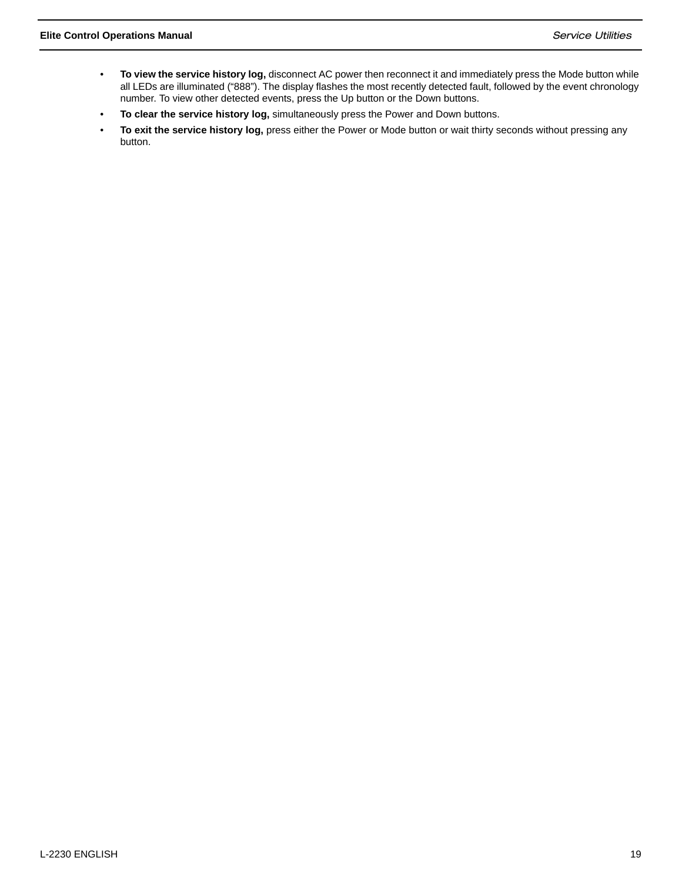- **To view the service history log,** disconnect AC power then reconnect it and immediately press the Mode button while all LEDs are illuminated ("888"). The display flashes the most recently detected fault, followed by the event chronology number. To view other detected events, press the Up button or the Down buttons.
- **To clear the service history log,** simultaneously press the Power and Down buttons.
- **To exit the service history log,** press either the Power or Mode button or wait thirty seconds without pressing any button.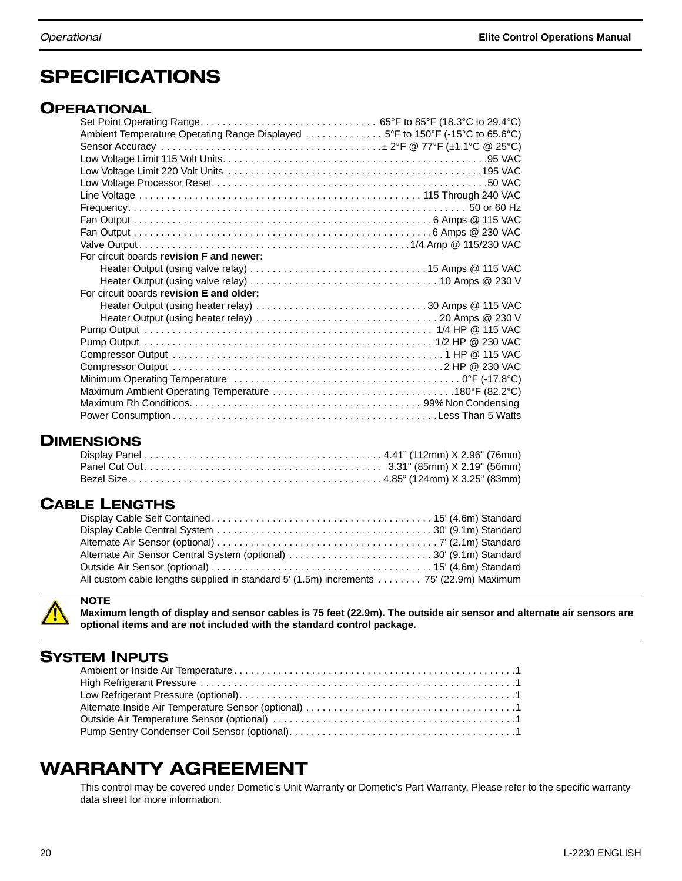## **SPECIFICATIONS**

## **OPERATIONAL**

| Ambient Temperature Operating Range Displayed 5°F to 150°F (-15°C to 65.6°C) |  |
|------------------------------------------------------------------------------|--|
|                                                                              |  |
|                                                                              |  |
|                                                                              |  |
|                                                                              |  |
|                                                                              |  |
|                                                                              |  |
|                                                                              |  |
|                                                                              |  |
|                                                                              |  |
| For circuit boards revision F and newer:                                     |  |
|                                                                              |  |
|                                                                              |  |
| For circuit boards revision E and older:                                     |  |
| Heater Output (using heater relay) 30 Amps @ 115 VAC                         |  |
|                                                                              |  |
|                                                                              |  |
|                                                                              |  |
|                                                                              |  |
|                                                                              |  |
|                                                                              |  |
|                                                                              |  |
|                                                                              |  |
|                                                                              |  |
|                                                                              |  |

## **DIMENSIONS**

## CABLE LENGTHS

| Alternate Air Sensor Central System (optional) 30' (9.1m) Standard                     |  |
|----------------------------------------------------------------------------------------|--|
|                                                                                        |  |
| All custom cable lengths supplied in standard 5' (1.5m) increments 75' (22.9m) Maximum |  |



**Maximum length of display and sensor cables is 75 feet (22.9m). The outside air sensor and alternate air sensors are optional items and are not included with the standard control package.**

## SYSTEM INPUTS

**NOTE** 

## WARRANTY AGREEMENT

This control may be covered under Dometic's Unit Warranty or Dometic's Part Warranty. Please refer to the specific warranty data sheet for more information.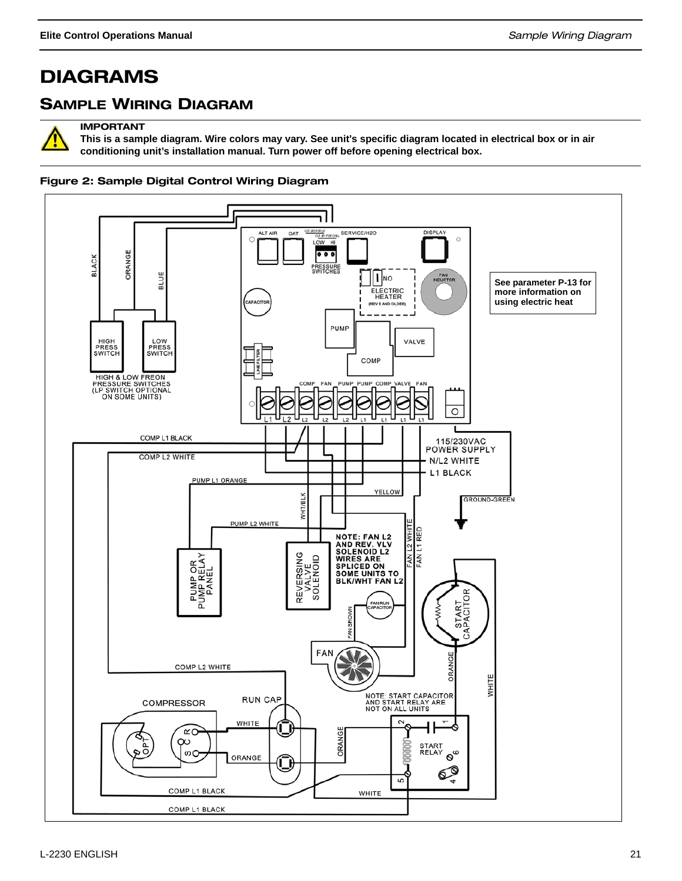## DIAGRAMS

## SAMPLE WIRING DIAGRAM



IMPORTANT

**This is a sample diagram. Wire colors may vary. See unit's specific diagram located in electrical box or in air conditioning unit's installation manual. Turn power off before opening electrical box.**

#### Figure 2: Sample Digital Control Wiring Diagram